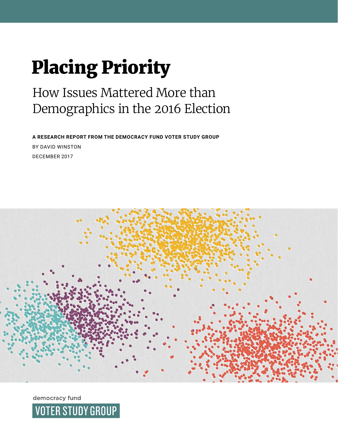# Placing Priority

# How Issues Mattered More than Demographics in the 2016 Election

**A RESEARCH REPORT FROM THE DEMOCRACY FUND VOTER STUDY GROUP**  BY DAVID WINSTON DECEMBER 2017



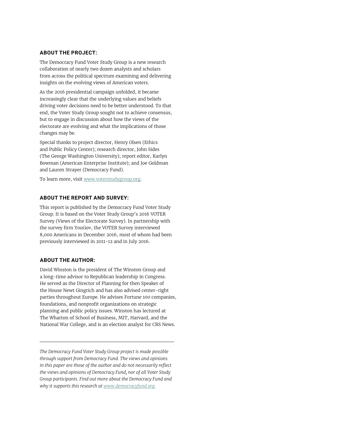#### **ABOUT THE PROJECT:**

The Democracy Fund Voter Study Group is a new research collaboration of nearly two dozen analysts and scholars from across the political spectrum examining and delivering insights on the evolving views of American voters.

As the 2016 presidential campaign unfolded, it became increasingly clear that the underlying values and beliefs driving voter decisions need to be better understood. To that end, the Voter Study Group sought not to achieve consensus, but to engage in discussion about how the views of the electorate are evolving and what the implications of those changes may be.

Special thanks to project director, Henry Olsen (Ethics and Public Policy Center); research director, John Sides (The George Washington University); report editor, Karlyn Bowman (American Enterprise Institute); and Joe Goldman and Lauren Strayer (Democracy Fund).

To learn more, visit [www.voterstudygroup.org](http://www.voterstudygroup.org).

#### **ABOUT THE REPORT AND SURVEY:**

This report is published by the Democracy Fund Voter Study Group. It is based on the Voter Study Group's 2016 VOTER Survey (Views of the Electorate Survey). In partnership with the survey firm YouGov, the VOTER Survey interviewed 8,000 Americans in December 2016, most of whom had been previously interviewed in 2011-12 and in July 2016.

#### **ABOUT THE AUTHOR:**

David Winston is the president of The Winston Group and a long-time advisor to Republican leadership in Congress. He served as the Director of Planning for then Speaker of the House Newt Gingrich and has also advised center-right parties throughout Europe. He advises Fortune 100 companies, foundations, and nonprofit organizations on strategic planning and public policy issues. Winston has lectured at The Wharton of School of Business, MIT, Harvard, and the National War College, and is an election analyst for CBS News.

*The Democracy Fund Voter Study Group project is made possible through support from Democracy Fund. The views and opinions in this paper are those of the author and do not necessarily reflect the views and opinions of Democracy Fund, nor of all Voter Study Group participants. Find out more about the Democracy Fund and why it supports this research at www.democracyfund.org.*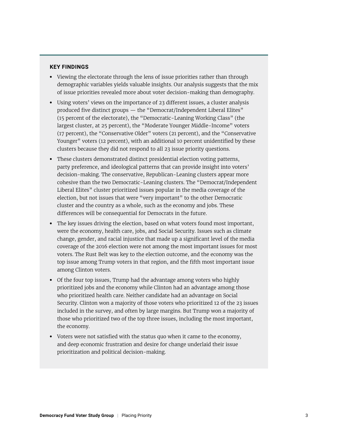#### **KEY FINDINGS**

- **•** Viewing the electorate through the lens of issue priorities rather than through demographic variables yields valuable insights. Our analysis suggests that the mix of issue priorities revealed more about voter decision-making than demography.
- **•** Using voters' views on the importance of 23 different issues, a cluster analysis produced five distinct groups — the "Democrat/Independent Liberal Elites" (15 percent of the electorate), the "Democratic-Leaning Working Class" (the largest cluster, at 25 percent), the "Moderate Younger Middle-Income" voters (17 percent), the "Conservative Older" voters (21 percent), and the "Conservative Younger" voters (12 percent), with an additional 10 percent unidentified by these clusters because they did not respond to all 23 issue priority questions.
- **•** These clusters demonstrated distinct presidential election voting patterns, party preference, and ideological patterns that can provide insight into voters' decision-making. The conservative, Republican-Leaning clusters appear more cohesive than the two Democratic-Leaning clusters. The "Democrat/Independent Liberal Elites" cluster prioritized issues popular in the media coverage of the election, but not issues that were "very important" to the other Democratic cluster and the country as a whole, such as the economy and jobs. These differences will be consequential for Democrats in the future.
- **•** The key issues driving the election, based on what voters found most important, were the economy, health care, jobs, and Social Security. Issues such as climate change, gender, and racial injustice that made up a significant level of the media coverage of the 2016 election were not among the most important issues for most voters. The Rust Belt was key to the election outcome, and the economy was the top issue among Trump voters in that region, and the fifth most important issue among Clinton voters.
- **•** Of the four top issues, Trump had the advantage among voters who highly prioritized jobs and the economy while Clinton had an advantage among those who prioritized health care. Neither candidate had an advantage on Social Security. Clinton won a majority of those voters who prioritized 12 of the 23 issues included in the survey, and often by large margins. But Trump won a majority of those who prioritized two of the top three issues, including the most important, the economy.
- **•** Voters were not satisfied with the status quo when it came to the economy, and deep economic frustration and desire for change underlaid their issue prioritization and political decision-making.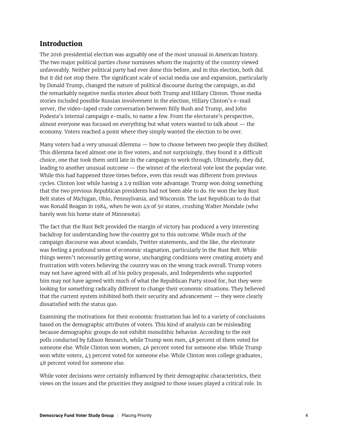### **Introduction**

The 2016 presidential election was arguably one of the most unusual in American history. The two major political parties chose nominees whom the majority of the country viewed unfavorably. Neither political party had ever done this before, and in this election, both did. But it did not stop there. The significant scale of social media use and expansion, particularly by Donald Trump, changed the nature of political discourse during the campaign, as did the remarkably negative media stories about both Trump and Hillary Clinton. Those media stories included possible Russian involvement in the election, Hillary Clinton's e-mail server, the video-taped crude conversation between Billy Bush and Trump, and John Podesta's internal campaign e-mails, to name a few. From the electorate's perspective, almost everyone was focused on everything but what voters wanted to talk about — the economy. Voters reached a point where they simply wanted the election to be over.

Many voters had a very unusual dilemma — how to choose between two people they disliked. This dilemma faced almost one in five voters, and not surprisingly, they found it a difficult choice, one that took them until late in the campaign to work through. Ultimately, they did, leading to another unusual outcome — the winner of the electoral vote lost the popular vote. While this had happened three times before, even this result was different from previous cycles. Clinton lost while having a 2.9 million vote advantage. Trump won doing something that the two previous Republican presidents had not been able to do. He won the key Rust Belt states of Michigan, Ohio, Pennsylvania, and Wisconsin. The last Republican to do that was Ronald Reagan in 1984, when he won 49 of 50 states, crushing Walter Mondale (who barely won his home state of Minnesota).

The fact that the Rust Belt provided the margin of victory has produced a very interesting backdrop for understanding how the country got to this outcome. While much of the campaign discourse was about scandals, Twitter statements, and the like, the electorate was feeling a profound sense of economic stagnation, particularly in the Rust Belt. While things weren't necessarily getting worse, unchanging conditions were creating anxiety and frustration with voters believing the country was on the wrong track overall. Trump voters may not have agreed with all of his policy proposals, and Independents who supported him may not have agreed with much of what the Republican Party stood for, but they were looking for something radically different to change their economic situations. They believed that the current system inhibited both their security and advancement — they were clearly dissatisfied with the status quo.

Examining the motivations for their economic frustration has led to a variety of conclusions based on the demographic attributes of voters. This kind of analysis can be misleading because demographic groups do not exhibit monolithic behavior. According to the exit polls conducted by Edison Research, while Trump won men, 48 percent of them voted for someone else. While Clinton won women, 46 percent voted for someone else. While Trump won white voters, 43 percent voted for someone else. While Clinton won college graduates, 48 percent voted for someone else.

While voter decisions were certainly influenced by their demographic characteristics, their views on the issues and the priorities they assigned to those issues played a critical role. In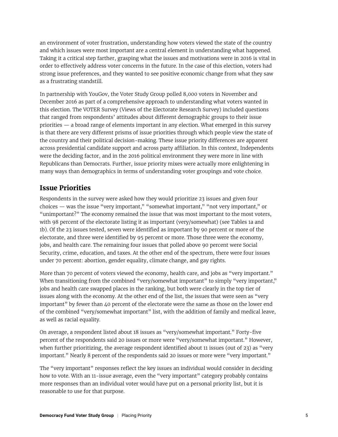an environment of voter frustration, understanding how voters viewed the state of the country and which issues were most important are a central element in understanding what happened. Taking it a critical step farther, grasping what the issues and motivations were in 2016 is vital in order to effectively address voter concerns in the future. In the case of this election, voters had strong issue preferences, and they wanted to see positive economic change from what they saw as a frustrating standstill.

In partnership with YouGov, the Voter Study Group polled 8,000 voters in November and December 2016 as part of a comprehensive approach to understanding what voters wanted in this election. The VOTER Survey (Views of the Electorate Research Survey) included questions that ranged from respondents' attitudes about different demographic groups to their issue priorities — a broad range of elements important in any election. What emerged in this survey is that there are very different prisms of issue priorities through which people view the state of the country and their political decision-making. These issue priority differences are apparent across presidential candidate support and across party affiliation. In this context, Independents were the deciding factor, and in the 2016 political environment they were more in line with Republicans than Democrats. Further, issue priority mixes were actually more enlightening in many ways than demographics in terms of understanding voter groupings and vote choice.

# **Issue Priorities**

Respondents in the survey were asked how they would prioritize 23 issues and given four choices — was the issue "very important," "somewhat important," "not very important," or "unimportant?" The economy remained the issue that was most important to the most voters, with 98 percent of the electorate listing it as important (very/somewhat) (see Tables 1a and 1b). Of the 23 issues tested, seven were identified as important by 90 percent or more of the electorate, and three were identified by 95 percent or more. Those three were the economy, jobs, and health care. The remaining four issues that polled above 90 percent were Social Security, crime, education, and taxes. At the other end of the spectrum, there were four issues under 70 percent: abortion, gender equality, climate change, and gay rights.

More than 70 percent of voters viewed the economy, health care, and jobs as "very important." When transitioning from the combined "very/somewhat important" to simply "very important," jobs and health care swapped places in the ranking, but both were clearly in the top tier of issues along with the economy. At the other end of the list, the issues that were seen as "very important" by fewer than 40 percent of the electorate were the same as those on the lower end of the combined "very/somewhat important" list, with the addition of family and medical leave, as well as racial equality.

On average, a respondent listed about 18 issues as "very/somewhat important." Forty-five percent of the respondents said 20 issues or more were "very/somewhat important." However, when further prioritizing, the average respondent identified about 11 issues (out of 23) as "very important." Nearly 8 percent of the respondents said 20 issues or more were "very important."

The "very important" responses reflect the key issues an individual would consider in deciding how to vote. With an 11-issue average, even the "very important" category probably contains more responses than an individual voter would have put on a personal priority list, but it is reasonable to use for that purpose.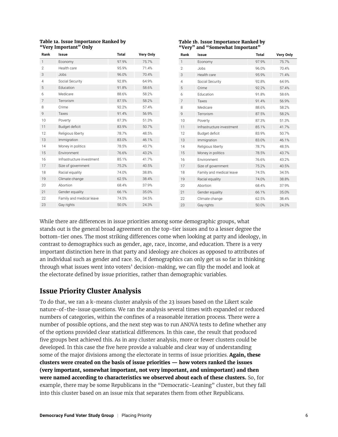| Table 1a. Issue Importance Ranked by |
|--------------------------------------|
| "Very Important" Only                |

| Rank           | Issue                     | <b>Total</b> | <b>Very Only</b> |
|----------------|---------------------------|--------------|------------------|
| 1              | Economy                   | 97.9%        | 75.7%            |
| $\overline{2}$ | Health care               | 95.9%        | 71.4%            |
| 3              | Jobs                      | 96.0%        | 70.4%            |
| $\overline{4}$ | Social Security           | 92.8%        | 64.9%            |
| 5              | Education                 | 91.8%        | 58.6%            |
| 6              | Medicare                  | 88.6%        | 58.2%            |
| 7              | Terrorism                 | 87.5%        | 58.2%            |
| 8              | Crime                     | 92.2%        | 57.4%            |
| 9              | Taxes                     | 91.4%        | 56.9%            |
| 10             | Poverty                   | 87.3%        | 51.3%            |
| 11             | Budget deficit            | 83.9%        | 50.7%            |
| 12             | Religious liberty         | 78.7%        | 48.5%            |
| 13             | Immigration               | 83.0%        | 46.1%            |
| 14             | Money in politics         | 78.5%        | 43.7%            |
| 15             | Environment               | 76.6%        | 43.2%            |
| 16             | Infrastructure investment | 85.1%        | 41.7%            |
| 17             | Size of government        | 75.2%        | 40.5%            |
| 18             | Racial equality           | 74.0%        | 38.8%            |
| 19             | Climate change            | 62.5%        | 38.4%            |
| 20             | Abortion                  | 68.4%        | 37.9%            |
| 21             | Gender equality           | 66.1%        | 35.0%            |
| 22             | Family and medical leave  | 74.5%        | 34.5%            |
| 23             | Gay rights                | 50.0%        | 24.3%            |

#### **Table 1b. Issue Importance Ranked by "Very" and "Somewhat Important"**

| Rank           | Issue                     | <b>Total</b> | <b>Very Only</b> |
|----------------|---------------------------|--------------|------------------|
| $\mathbf{1}$   | Economy                   | 97.9%        | 75.7%            |
| $\overline{2}$ | Jobs                      | 96.0%        | 70.4%            |
| 3              | Health care               | 95.9%        | 71.4%            |
| $\overline{4}$ | Social Security           | 92.8%        | 64.9%            |
| 5              | Crime                     | 92.2%        | 57.4%            |
| 6              | <b>Education</b>          | 91.8%        | 58.6%            |
| 7              | Taxes                     | 91.4%        | 56.9%            |
| 8              | Medicare                  | 88.6%        | 58.2%            |
| 9              | Terrorism                 | 87.5%        | 58.2%            |
| 10             | Poverty                   | 87.3%        | 51.3%            |
| 11             | Infrastructure investment | 85.1%        | 41.7%            |
| 12             | Budget deficit            | 83.9%        | 50.7%            |
| 13             | Immigration               | 83.0%        | 46.1%            |
| 14             | Religious liberty         | 78.7%        | 48.5%            |
| 15             | Money in politics         | 78.5%        | 43.7%            |
| 16             | Fnvironment               | 76.6%        | 43.2%            |
| 17             | Size of government        | 75.2%        | 40.5%            |
| 18             | Family and medical leave  | 74.5%        | 34.5%            |
| 19             | Racial equality           | 74.0%        | 38.8%            |
| 20             | Abortion                  | 68.4%        | 37.9%            |
| 21             | Gender equality           | 66.1%        | 35.0%            |
| 22             | Climate change            | 62.5%        | 38.4%            |
| 23             | Gay rights                | 50.0%        | 24.3%            |

While there are differences in issue priorities among some demographic groups, what stands out is the general broad agreement on the top-tier issues and to a lesser degree the bottom-tier ones. The most striking differences come when looking at party and ideology, in contrast to demographics such as gender, age, race, income, and education. There is a very important distinction here in that party and ideology are choices as opposed to attributes of an individual such as gender and race. So, if demographics can only get us so far in thinking through what issues went into voters' decision-making, we can flip the model and look at the electorate defined by issue priorities, rather than demographic variables.

# **Issue Priority Cluster Analysis**

To do that, we ran a k-means cluster analysis of the 23 issues based on the Likert scale nature-of-the-issue questions. We ran the analysis several times with expanded or reduced numbers of categories, within the confines of a reasonable iteration process. There were a number of possible options, and the next step was to run ANOVA tests to define whether any of the options provided clear statistical differences. In this case, the result that produced five groups best achieved this. As in any cluster analysis, more or fewer clusters could be developed. In this case the five here provide a valuable and clear way of understanding some of the major divisions among the electorate in terms of issue priorities. **Again, these clusters were created on the basis of issue priorities — how voters ranked the issues (very important, somewhat important, not very important, and unimportant) and then were named according to characteristics we observed about each of these clusters.** So, for example, there may be some Republicans in the "Democratic-Leaning" cluster, but they fall into this cluster based on an issue mix that separates them from other Republicans.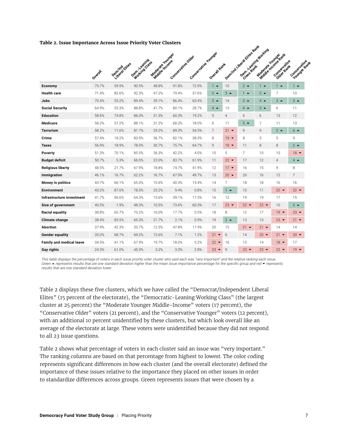#### **Table 2. Issue Importance Across Issue Priority Voter Clusters**

|                                 |         | Demind Eites | Demotivescritta | Macaster Hounger<br>Middle Income | Consequented bes | Consequents in a domination | Overall Rank    |                | Dentities Liberal Elites Rant<br>Dem. Yeahing Hotching |                 | Modole Houngeart<br>Conservative<br>Older Rant | Conseilastive Av |
|---------------------------------|---------|--------------|-----------------|-----------------------------------|------------------|-----------------------------|-----------------|----------------|--------------------------------------------------------|-----------------|------------------------------------------------|------------------|
|                                 | Overall |              |                 |                                   |                  |                             |                 |                |                                                        |                 |                                                |                  |
| Economy                         | 75.7%   | 59.5%        | 90.5%           | 48.8%                             | 91.8%            | 72.9%                       | $1 -$           | 10             | $2^{\bullet}$                                          | $1 -$           | $1 -$                                          | $1 -$            |
| <b>Health care</b>              | 71.4%   | 82.6%        | 92.3%           | 47.2%                             | 79.4%            | 37.6%                       | $2^{\triangle}$ | $3 -$          | $1 -$                                                  | $2^{\triangle}$ | 7                                              | 10               |
| Jobs                            | 70.4%   | 55.2%        | 89.4%           | 39.1%                             | 86.4%            | 63.4%                       | $3 -$           | 14             | $3 -$                                                  | $4 -$           | $3 -$                                          | $3 -$            |
| <b>Social Security</b>          | 64.9%   | 55.3%        | 88.8%           | 41.7%                             | 80.1%            | 28.7%                       | $4 \triangle$   | 13             | $4 -$                                                  | $3 -$           | 6                                              | 11               |
| <b>Education</b>                | 58.6%   | 74.8%        | 86.0%           | 31.3%                             | 60.3%            | 19.2%                       | 5               | $\overline{4}$ | 6                                                      | 6               | 13                                             | 12               |
| <b>Medicare</b>                 | 58.2%   | 57.2%        | 88.1%           | 31.2%                             | 68.3%            | 18.0%                       | 6               | 11             | $5 -$                                                  | 7               | 11                                             | 13               |
| <b>Terrorism</b>                | 58.2%   | 11.6%        | 81.7%           | 29.2%                             | 89.3%            | 54.5%                       | 7               | $21 -$         | 9                                                      | 9               | $2^{\bullet}$                                  | $6^{\circ}$      |
| Crime                           | 57.4%   | 18.2%        | 83.5%           | 36.7%                             | 82.1%            | 38.3%                       | 8               | $19 -$         | 8                                                      | 5               | 5                                              | 9                |
| <b>Taxes</b>                    | 56.9%   | 18.9%        | 78.0%           | 30.7%                             | 75.7%            | 64.7%                       | 9               | $18 -$         | 11                                                     | 8               | 8                                              | $2^{\bullet}$    |
| Poverty                         | 51.3%   | 70.1%        | 85.5%           | 26.3%                             | 42.2%            | 4.0%                        | 10              | 5              | $\overline{7}$                                         | 10              | 15                                             | $18 -$           |
| <b>Budget deficit</b>           | 50.7%   | 5.3%         | 66.0%           | 22.0%                             | 83.7%            | 61.9%                       | 11              | $22 -$         | 17                                                     | 12              | $\overline{4}$                                 | $4 \triangle$    |
| Religious liberty               | 48.5%   | 21.7%        | 67.9%           | 18.8%                             | 74.7%            | 41.9%                       | 12              | $17 -$         | 16                                                     | 15              | 9                                              | 8                |
| Immigration                     | 46.1%   | 16.7%        | 62.2%           | 16.7%                             | 67.9%            | 49.7%                       | 13              | $20 -$         | 20                                                     | 16              | 12                                             | 7                |
| Money in politics               | 43.7%   | 66.1%        | 65.0%           | 15.6%                             | 40.3%            | 15.4%                       | 14              | 7              | 18                                                     | 18              | 16                                             | 16               |
| <b>Environment</b>              | 43.2%   | 87.0%        | 78.5%           | 25.2%                             | 9.4%             | 0.8%                        | 15              | $1 -$          | 10                                                     | 11              | $20 -$                                         | $22 -$           |
| Infrastructure investment       | 41.7%   | 56.6%        | 64.3%           | 15.6%                             | 39.1%            | 17.3%                       | 16              | 12             | 19                                                     | 19              | 17                                             | 15               |
| Size of government              | 40.5%   | 1.9%         | 48.3%           | 10.5%                             | 73.6%            | 60.3%                       | 17              | $23 -$         | $22 -$                                                 | $22 -$          | 10                                             | $5 -$            |
| <b>Racial equality</b>          | 38.8%   | 65.7%        | 73.2%           | 16.0%                             | 17.7%            | 0.5%                        | 18              | 8              | 12                                                     | 17              | $19 -$                                         | $23 -$           |
| Climate change                  | 38.4%   | 83.5%        | 69.3%           | 21.7%                             | 2.1%             | 0.9%                        | 19              | $2^{\bullet}$  | 13                                                     | 13              | $23 -$                                         | $21 -$           |
| <b>Abortion</b>                 | 37.9%   | 42.3%        | 53.7%           | 12.5%                             | 47.8%            | 17.9%                       | 20              | 15             | $21 -$                                                 | $21 -$          | 14                                             | 14               |
| <b>Gender equality</b>          | 35.0%   | 68.7%        | 69.2%           | 12.6%                             | 7.1%             | 1.2%                        | $21 -$          | 6              | 14                                                     | $20 -$          | $21 -$                                         | $20 -$           |
| <b>Family and medical leave</b> | 34.5%   | 41.1%        | 67.9%           | 19.7%                             | 18.0%            | 5.2%                        | $22 -$          | 16             | 15                                                     | 14              | $18 -$                                         | 17               |
| Gay rights                      | 24.3%   | 61.0%        | 45.3%           | 5.2%                              | 3.3%             | 2.8%                        | $23 -$          | 9              | $23 -$                                                 | $23 -$          | $22 -$                                         | $19 -$           |

*This table displays the percentage of voters in each issue priority voter cluster who said each was "very important" and the relative ranking each issue. Green* ~ *represents results that are one standard deviation higher than the mean issue importance percentage for the specific group and red represents results that are one standard deviation lower.* 

Table 2 displays these five clusters, which we have called the "Democrat/Independent Liberal Elites" (15 percent of the electorate), the "Democratic-Leaning Working Class" (the largest cluster at 25 percent) the "Moderate Younger Middle-Income" voters (17 percent), the "Conservative Older" voters (21 percent), and the "Conservative Younger" voters (12 percent), with an additional 10 percent unidentified by these clusters, but which look overall like an average of the electorate at large. These voters were unidentified because they did not respond to all 23 issue questions.

Table 2 shows what percentage of voters in each cluster said an issue was "very important." The ranking columns are based on that percentage from highest to lowest. The color coding represents significant differences in how each cluster (and the overall electorate) defined the importance of these issues relative to the importance they placed on other issues in order to standardize differences across groups. Green represents issues that were chosen by a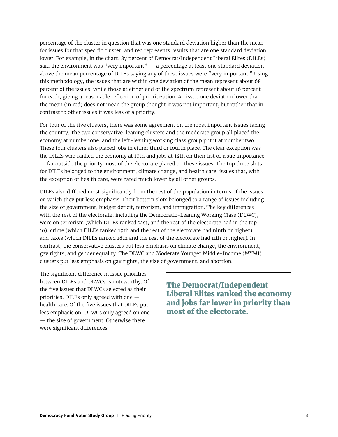percentage of the cluster in question that was one standard deviation higher than the mean for issues for that specific cluster, and red represents results that are one standard deviation lower. For example, in the chart, 87 percent of Democrat/Independent Liberal Elites (DILEs) said the environment was "very important"  $-$  a percentage at least one standard deviation above the mean percentage of DILEs saying any of these issues were "very important." Using this methodology, the issues that are within one deviation of the mean represent about 68 percent of the issues, while those at either end of the spectrum represent about 16 percent for each, giving a reasonable reflection of prioritization. An issue one deviation lower than the mean (in red) does not mean the group thought it was not important, but rather that in contrast to other issues it was less of a priority.

For four of the five clusters, there was some agreement on the most important issues facing the country. The two conservative-leaning clusters and the moderate group all placed the economy at number one, and the left-leaning working class group put it at number two. These four clusters also placed jobs in either third or fourth place. The clear exception was the DILEs who ranked the economy at 10th and jobs at 14th on their list of issue importance — far outside the priority most of the electorate placed on these issues. The top three slots for DILEs belonged to the environment, climate change, and health care, issues that, with the exception of health care, were rated much lower by all other groups.

DILEs also differed most significantly from the rest of the population in terms of the issues on which they put less emphasis. Their bottom slots belonged to a range of issues including the size of government, budget deficit, terrorism, and immigration. The key differences with the rest of the electorate, including the Democratic-Leaning Working Class (DLWC), were on terrorism (which DILEs ranked 21st, and the rest of the electorate had in the top 10), crime (which DILEs ranked 19th and the rest of the electorate had ninth or higher), and taxes (which DILEs ranked 18th and the rest of the electorate had 11th or higher). In contrast, the conservative clusters put less emphasis on climate change, the environment, gay rights, and gender equality. The DLWC and Moderate Younger Middle-Income (MYMI) clusters put less emphasis on gay rights, the size of government, and abortion.

The significant difference in issue priorities between DILEs and DLWCs is noteworthy. Of the five issues that DLWCs selected as their priorities, DILEs only agreed with one health care. Of the five issues that DILEs put less emphasis on, DLWCs only agreed on one — the size of government. Otherwise there were significant differences.

The Democrat/Independent Liberal Elites ranked the economy and jobs far lower in priority than most of the electorate.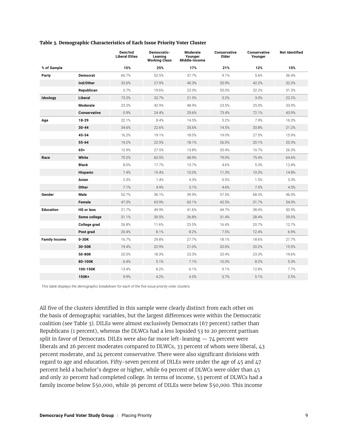|                      |                     | Dem/Ind<br><b>Liberal Elites</b> | Democratic-<br>Leaning<br><b>Working Class</b> | Moderate<br>Younger<br>Middle-Income | <b>Conservative</b><br>Older | <b>Conservative</b><br>Younger | <b>Not Identified</b> |
|----------------------|---------------------|----------------------------------|------------------------------------------------|--------------------------------------|------------------------------|--------------------------------|-----------------------|
| % of Sample          |                     | 15%                              | 25%                                            | 17%                                  | 21%                          | 12%                            | 10%                   |
| Party                | <b>Democrat</b>     | 66.7%                            | 52.5%                                          | 37.7%                                | 9.1%                         | 5.6%                           | 36.4%                 |
|                      | Ind/Other           | 32.6%                            | 27.9%                                          | 40.3%                                | 35.9%                        | 42.2%                          | 32.3%                 |
|                      | Republican          | 0.7%                             | 19.6%                                          | 22.0%                                | 55.0%                        | 52.2%                          | 31.3%                 |
| Ideology             | Liberal             | 73.5%                            | 32.7%                                          | 21.5%                                | 3.2%                         | 3.0%                           | 22.2%                 |
|                      | Moderate            | 25.5%                            | 42.9%                                          | 48.9%                                | 23.5%                        | 25.0%                          | 33.9%                 |
|                      | <b>Conservative</b> | 0.9%                             | 24.4%                                          | 29.6%                                | 73.4%                        | 72.1%                          | 43.9%                 |
| Age                  | 18-29               | 22.1%                            | 8.4%                                           | 14.5%                                | 5.2%                         | 7.9%                           | 16.3%                 |
|                      | $30 - 44$           | 34.6%                            | 22.6%                                          | 35.6%                                | 14.5%                        | 33.8%                          | 21.2%                 |
|                      | $45 - 54$           | 16.2%                            | 19.1%                                          | 18.0%                                | 19.0%                        | 27.5%                          | 15.9%                 |
|                      | $55 - 64$           | 14.2%                            | 22.5%                                          | 18.1%                                | 26.0%                        | 20.1%                          | 20.3%                 |
|                      | $65+$               | 12.9%                            | 27.5%                                          | 13.8%                                | 35.4%                        | 10.7%                          | 26.3%                 |
| Race                 | White               | 75.2%                            | 60.5%                                          | 68.9%                                | 79.0%                        | 75.4%                          | 64.6%                 |
|                      | <b>Black</b>        | 8.0%                             | 17.7%                                          | 13.7%                                | 4.6%                         | 5.3%                           | 12.8%                 |
|                      | Hispanic            | 7.4%                             | 15.4%                                          | 10.0%                                | 11.3%                        | 10.3%                          | 14.8%                 |
|                      | Asian               | 2.3%                             | 1.4%                                           | 4.3%                                 | 0.5%                         | 1.5%                           | 3.3%                  |
|                      | Other               | 7.1%                             | 4.9%                                           | 3.1%                                 | 4.6%                         | 7.5%                           | 4.5%                  |
| Gender               | Male                | 52.7%                            | 36.1%                                          | 39.9%                                | 57.5%                        | 68.3%                          | 46.0%                 |
|                      | Female              | 47.3%                            | 63.9%                                          | 60.1%                                | 42.5%                        | 31.7%                          | 54.0%                 |
| <b>Education</b>     | <b>HS or less</b>   | 21.7%                            | 49.9%                                          | 41.6%                                | 44.7%                        | 38.4%                          | 50.9%                 |
|                      | Some college        | 31.1%                            | 30.5%                                          | 26.8%                                | 31.4%                        | 28.4%                          | 29.5%                 |
|                      | College grad        | 26.8%                            | 11.6%                                          | 23.5%                                | 16.4%                        | 20.7%                          | 12.7%                 |
|                      | Post grad           | 20.4%                            | 8.1%                                           | 8.2%                                 | 7.5%                         | 12.4%                          | 6.9%                  |
| <b>Family Income</b> | 0-30K               | 16.7%                            | 29.8%                                          | 27.7%                                | 18.1%                        | 18.6%                          | 27.7%                 |
|                      | 30-50K              | 19.4%                            | 22.9%                                          | 21.0%                                | 20.0%                        | 20.2%                          | 15.5%                 |
|                      | 50-80K              | 20.5%                            | 18.3%                                          | 23.3%                                | 23.4%                        | 23.3%                          | 19.6%                 |
|                      | 80-100K             | 6.4%                             | 5.1%                                           | 7.1%                                 | 10.3%                        | 8.2%                           | 5.3%                  |
|                      | 100-150K            | 13.4%                            | 8.2%                                           | 6.1%                                 | 9.1%                         | 12.8%                          | 7.7%                  |
|                      | 150K+               | 9.9%                             | 4.2%                                           | 4.5%                                 | 3.7%                         | 5.1%                           | 2.5%                  |

#### **Table 3. Demographic Characteristics of Each Issue Priority Voter Cluster**

*This table displays the demographic breakdown for each of the five issue priority voter clusters.*

All five of the clusters identified in this sample were clearly distinct from each other on the basis of demographic variables, but the largest differences were within the Democratic coalition (see Table 3). DILEs were almost exclusively Democrats (67 percent) rather than Republicans (1 percent), whereas the DLWCs had a less lopsided 53 to 20 percent partisan split in favor of Democrats. DILEs were also far more left-leaning  $-74$  percent were liberals and 26 percent moderates compared to DLWCs, 33 percent of whom were liberal, 43 percent moderate, and 24 percent conservative. There were also significant divisions with regard to age and education. Fifty-seven percent of DILEs were under the age of 45 and 47 percent held a bachelor's degree or higher, while 69 percent of DLWCs were older than 45 and only 20 percent had completed college. In terms of income, 53 percent of DLWCs had a family income below \$50,000, while 36 percent of DILEs were below \$50,000. This income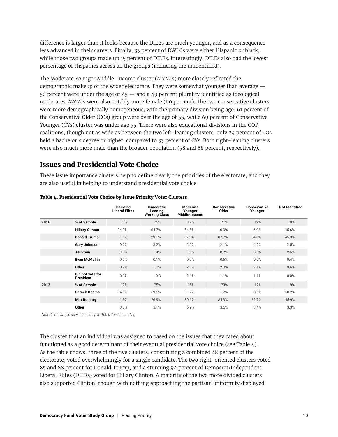difference is larger than it looks because the DILEs are much younger, and as a consequence less advanced in their careers. Finally, 33 percent of DWLCs were either Hispanic or black, while those two groups made up 15 percent of DILEs. Interestingly, DILEs also had the lowest percentage of Hispanics across all the groups (including the unidentified).

The Moderate Younger Middle-Income cluster (MYMIs) more closely reflected the demographic makeup of the wider electorate. They were somewhat younger than average — 50 percent were under the age of  $45 -$  and a 49 percent plurality identified as ideological moderates. MYMIs were also notably more female (60 percent). The two conservative clusters were more demographically homogeneous, with the primary division being age: 61 percent of the Conservative Older (COs) group were over the age of 55, while 69 percent of Conservative Younger (CYs) cluster was under age 55. There were also educational divisions in the GOP coalitions, though not as wide as between the two left-leaning clusters: only 24 percent of COs held a bachelor's degree or higher, compared to 33 percent of CYs. Both right-leaning clusters were also much more male than the broader population (58 and 68 percent, respectively).

# **Issues and Presidential Vote Choice**

These issue importance clusters help to define clearly the priorities of the electorate, and they are also useful in helping to understand presidential vote choice.

|      |                               | Dem/Ind<br><b>Liberal Elites</b> | Democratic-<br>Leaning<br><b>Working Class</b> | Moderate<br>Younger<br>Middle-Income | Conservative<br>Older | Conservative<br>Younger | <b>Not Identified</b> |
|------|-------------------------------|----------------------------------|------------------------------------------------|--------------------------------------|-----------------------|-------------------------|-----------------------|
| 2016 | % of Sample                   | 15%                              | 25%                                            | 17%                                  | 21%                   | 12%                     | 10%                   |
|      | <b>Hillary Clinton</b>        | 94.0%                            | 64.7%                                          | 54.5%                                | 6.0%                  | 6.9%                    | 45.6%                 |
|      | <b>Donald Trump</b>           | 1.1%                             | 29.1%                                          | 32.9%                                | 87.7%                 | 84.8%                   | 45.3%                 |
|      | Gary Johnson                  | 0.2%                             | 3.2%                                           | 6.6%                                 | 2.1%                  | 4.9%                    | 2.5%                  |
|      | Jill Stein                    | 3.1%                             | 1.4%                                           | 1.5%                                 | 0.2%                  | 0.0%                    | 2.6%                  |
|      | <b>Evan McMullin</b>          | 0.0%                             | 0.1%                                           | 0.2%                                 | 0.6%                  | 0.2%                    | 0.4%                  |
|      | Other                         | 0.7%                             | 1.3%                                           | 2.3%                                 | 2.3%                  | 2.1%                    | 3.6%                  |
|      | Did not vote for<br>President | 0.9%                             | 0.3                                            | 2.1%                                 | 1.1%                  | 1.1%                    | 0.0%                  |
| 2012 | % of Sample                   | 17%                              | 25%                                            | 15%                                  | 23%                   | 12%                     | 9%                    |
|      | <b>Barack Obama</b>           | 94.9%                            | 69.6%                                          | 61.7%                                | 11.2%                 | 8.6%                    | 50.2%                 |
|      | <b>Mitt Romney</b>            | 1.3%                             | 26.9%                                          | 30.6%                                | 84.9%                 | 82.7%                   | 45.9%                 |
|      | Other                         | 3.8%                             | 3.1%                                           | 6.9%                                 | 3.6%                  | 8.4%                    | 3.3%                  |

#### **Table 4. Presidential Vote Choice by Issue Priority Voter Clusters**

*Note: % of sample does not add up to 100% due to rounding*

The cluster that an individual was assigned to based on the issues that they cared about functioned as a good determinant of their eventual presidential vote choice (see Table 4). As the table shows, three of the five clusters, constituting a combined 48 percent of the electorate, voted overwhelmingly for a single candidate. The two right-oriented clusters voted 85 and 88 percent for Donald Trump, and a stunning 94 percent of Democrat/Independent Liberal Elites (DILEs) voted for Hillary Clinton. A majority of the two more divided clusters also supported Clinton, though with nothing approaching the partisan uniformity displayed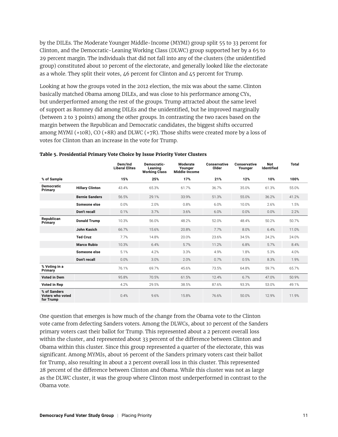by the DILEs. The Moderate Younger Middle-Income (MYMI) group split 55 to 33 percent for Clinton, and the Democratic-Leaning Working Class (DLWC) group supported her by a 65 to 29 percent margin. The individuals that did not fall into any of the clusters (the unidentified group) constituted about 10 percent of the electorate, and generally looked like the electorate as a whole. They split their votes, 46 percent for Clinton and 45 percent for Trump.

Looking at how the groups voted in the 2012 election, the mix was about the same. Clinton basically matched Obama among DILEs, and was close to his performance among CYs, but underperformed among the rest of the groups. Trump attracted about the same level of support as Romney did among DILEs and the unidentified, but he improved marginally (between 2 to 3 points) among the other groups. In contrasting the two races based on the margin between the Republican and Democratic candidates, the biggest shifts occurred among MYMI (+10R), CO (+8R) and DLWC (+7R). Those shifts were created more by a loss of votes for Clinton than an increase in the vote for Trump.

|                                               |                        | Dem/Ind<br><b>Liberal Elites</b> | Democratic-<br>Leaning<br><b>Working Class</b> | Moderate<br>Younger<br>Middle-Income | <b>Conservative</b><br>Older | Conservative<br>Younger | <b>Not</b><br>Identified | <b>Total</b> |
|-----------------------------------------------|------------------------|----------------------------------|------------------------------------------------|--------------------------------------|------------------------------|-------------------------|--------------------------|--------------|
| % of Sample                                   |                        | 15%                              | 25%                                            | 17%                                  | 21%                          | 12%                     | 10%                      | 100%         |
| <b>Democratic</b><br>Primary                  | <b>Hillary Clinton</b> | 43.4%                            | 65.3%                                          | 61.7%                                | 36.7%                        | 35.0%                   | 61.3%                    | 55.0%        |
|                                               | <b>Bernie Sanders</b>  | 56.5%                            | 29.1%                                          | 33.9%                                | 51.3%                        | 55.0%                   | 36.2%                    | 41.2%        |
|                                               | Someone else           | 0.0%                             | 2.0%                                           | 0.8%                                 | 6.0%                         | 10.0%                   | 2.6%                     | 1.5%         |
|                                               | Don't recall           | 0.1%                             | 3.7%                                           | 3.6%                                 | 6.0%                         | 0.0%                    | 0.0%                     | 2.2%         |
| Republican<br>Primary                         | <b>Donald Trump</b>    | 10.3%                            | 56.0%                                          | 48.2%                                | 52.0%                        | 48.4%                   | 50.2%                    | 50.7%        |
|                                               | John Kasich            | 66.7%                            | 15.6%                                          | 20.8%                                | 7.7%                         | 8.0%                    | 6.4%                     | 11.0%        |
|                                               | <b>Ted Cruz</b>        | 7.7%                             | 14.8%                                          | 20.0%                                | 23.6%                        | 34.5%                   | 24.2%                    | 24.0%        |
|                                               | <b>Marco Rubio</b>     | 10.3%                            | 6.4%                                           | 5.7%                                 | 11.2%                        | 6.8%                    | 5.7%                     | 8.4%         |
|                                               | Someone else           | 5.1%                             | 4.2%                                           | 3.3%                                 | 4.9%                         | 1.8%                    | 5.3%                     | 4.0%         |
|                                               | Don't recall           | 0.0%                             | 3.0%                                           | 2.0%                                 | 0.7%                         | 0.5%                    | 8.3%                     | 1.9%         |
| % Voting in a<br>Primary                      |                        | 76.1%                            | 69.7%                                          | 45.6%                                | 73.5%                        | 64.8%                   | 59.7%                    | 65.7%        |
| <b>Voted in Dem</b>                           |                        | 95.8%                            | 70.5%                                          | 61.5%                                | 12.4%                        | 6.7%                    | 47.0%                    | 50.9%        |
| <b>Voted in Rep</b>                           |                        | 4.2%                             | 29.5%                                          | 38.5%                                | 87.6%                        | 93.3%                   | 53.0%                    | 49.1%        |
| % of Sanders<br>Voters who voted<br>for Trump |                        | 0.4%                             | 9.6%                                           | 15.8%                                | 76.6%                        | 50.0%                   | 12.9%                    | 11.9%        |

#### **Table 5. Presidential Primary Vote Choice by Issue Priority Voter Clusters**

One question that emerges is how much of the change from the Obama vote to the Clinton vote came from defecting Sanders voters. Among the DLWCs, about 10 percent of the Sanders primary voters cast their ballot for Trump. This represented about a 2 percent overall loss within the cluster, and represented about 33 percent of the difference between Clinton and Obama within this cluster. Since this group represented a quarter of the electorate, this was significant. Among MYMIs, about 16 percent of the Sanders primary voters cast their ballot for Trump, also resulting in about a 2 percent overall loss in this cluster. This represented 28 percent of the difference between Clinton and Obama. While this cluster was not as large as the DLWC cluster, it was the group where Clinton most underperformed in contrast to the Obama vote.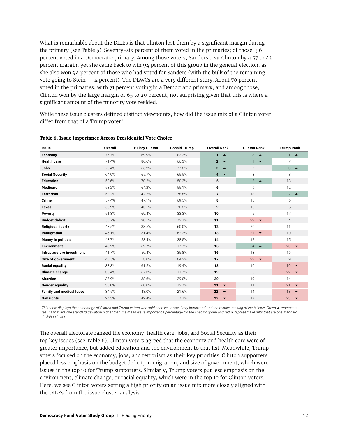What is remarkable about the DILEs is that Clinton lost them by a significant margin during the primary (see Table 5). Seventy-six percent of them voted in the primaries; of those, 96 percent voted in a Democratic primary. Among those voters, Sanders beat Clinton by a 57 to 43 percent margin, yet she came back to win 94 percent of this group in the general election, as she also won 94 percent of those who had voted for Sanders (with the bulk of the remaining vote going to Stein  $-$  4 percent). The DLWCs are a very different story. About 70 percent voted in the primaries, with 71 percent voting in a Democratic primary, and among those, Clinton won by the large margin of 65 to 29 percent, not surprising given that this is where a significant amount of the minority vote resided.

While these issue clusters defined distinct viewpoints, how did the issue mix of a Clinton voter differ from that of a Trump voter?

| Issue                           | <b>Overall</b> | <b>Hillary Clinton</b> | <b>Donald Trump</b> | <b>Overall Rank</b>                | <b>Clinton Rank</b>                | <b>Trump Rank</b>              |
|---------------------------------|----------------|------------------------|---------------------|------------------------------------|------------------------------------|--------------------------------|
| Economy                         | 75.7%          | 69.9%                  | 83.3%               | $1 - \triangle$                    | 3<br>$\rightarrow$                 | $1 - \triangle$                |
| <b>Health care</b>              | 71.4%          | 80.6%                  | 66.3%               | $\overline{2}$<br>$\blacktriangle$ | $1 -$<br>$\blacktriangle$          | 7                              |
| <b>Jobs</b>                     | 70.4%          | 66.2%                  | 77.8%               | 3<br>$\blacktriangle$              | $\overline{7}$                     | 3<br>$\blacktriangle$          |
| <b>Social Security</b>          | 64.9%          | 65.7%                  | 65.5%               | $\overline{4}$<br>$\rightarrow$    | 8                                  | 8                              |
| <b>Education</b>                | 58.6%          | 70.2%                  | 50.3%               | 5                                  | $\overline{2}$<br>$\blacktriangle$ | 13                             |
| <b>Medicare</b>                 | 58.2%          | 64.2%                  | 55.1%               | 6                                  | 9                                  | 12                             |
| <b>Terrorism</b>                | 58.2%          | 42.2%                  | 78.8%               | $\overline{7}$                     | 18                                 | $2 - 2$                        |
| Crime                           | 57.4%          | 47.1%                  | 69.5%               | 8                                  | 15                                 | 6                              |
| <b>Taxes</b>                    | 56.9%          | 43.1%                  | 70.5%               | 9                                  | 16                                 | 5                              |
| Poverty                         | 51.3%          | 69.4%                  | 33.3%               | 10                                 | 5                                  | 17                             |
| <b>Budget deficit</b>           | 50.7%          | 30.1%                  | 72.1%               | 11                                 | 22<br>$\blacktriangledown$         | $\overline{4}$                 |
| <b>Religious liberty</b>        | 48.5%          | 38.5%                  | 60.0%               | 12                                 | 20                                 | 11                             |
| Immigration                     | 46.1%          | 31.4%                  | 62.3%               | 13                                 | 21<br>$\blacktriangledown$         | 10                             |
| Money in politics               | 43.7%          | 53.4%                  | 38.5%               | 14                                 | 12                                 | 15                             |
| <b>Environment</b>              | 43.2%          | 69.7%                  | 17.7%               | 15                                 | $\overline{4}$<br>$\blacktriangle$ | 20<br>$\overline{\phantom{a}}$ |
| Infrastructure investment       | 41.7%          | 50.4%                  | 35.8%               | 16                                 | 13                                 | 16                             |
| Size of government              | 40.5%          | 18.0%                  | 64.2%               | 17                                 | 23<br>$\blacktriangledown$         | 9                              |
| <b>Racial equality</b>          | 38.8%          | 61.5%                  | 19.4%               | 18                                 | 10                                 | 19<br>$\blacktriangledown$     |
| Climate change                  | 38.4%          | 67.3%                  | 11.7%               | 19                                 | 6                                  | 22<br>$\overline{\phantom{a}}$ |
| <b>Abortion</b>                 | 37.9%          | 38.6%                  | 39.0%               | 20                                 | 19                                 | 14                             |
| <b>Gender equality</b>          | 35.0%          | 60.0%                  | 12.7%               | 21<br>$\blacktriangledown$         | 11                                 | 21<br>$\blacktriangledown$     |
| <b>Family and medical leave</b> | 34.5%          | 48.0%                  | 21.6%               | 22<br>$\blacktriangledown$         | 14                                 | 18<br>$\blacktriangledown$     |
| <b>Gay rights</b>               | 24.3%          | 42.4%                  | 7.1%                | 23<br>$\overline{\phantom{0}}$     | 17                                 | 23<br>$\blacktriangledown$     |

#### **Table 6. Issue Importance Across Presidential Vote Choice**

*This table displays the percentage of Clinton and Trump voters who said each issue was "very important" and the relative ranking of each issue. Green ▲ represents results that are one standard deviation higher than the mean issue importance percentage for the specific group and red represents results that are one standard deviation lower.*

The overall electorate ranked the economy, health care, jobs, and Social Security as their top key issues (see Table 6). Clinton voters agreed that the economy and health care were of greater importance, but added education and the environment to that list. Meanwhile, Trump voters focused on the economy, jobs, and terrorism as their key priorities. Clinton supporters placed less emphasis on the budget deficit, immigration, and size of government, which were issues in the top 10 for Trump supporters. Similarly, Trump voters put less emphasis on the environment, climate change, or racial equality, which were in the top 10 for Clinton voters. Here, we see Clinton voters setting a high priority on an issue mix more closely aligned with the DILEs from the issue cluster analysis.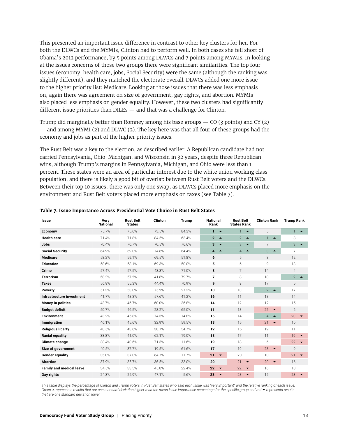This presented an important issue difference in contrast to other key clusters for her. For both the DLWCs and the MYMIs, Clinton had to perform well. In both cases she fell short of Obama's 2012 performance, by 5 points among DLWCs and 7 points among MYMIs. In looking at the issues concerns of those two groups there were significant similarities. The top four issues (economy, health care, jobs, Social Security) were the same (although the ranking was slightly different), and they matched the electorate overall. DLWCs added one more issue to the higher priority list: Medicare. Looking at those issues that there was less emphasis on, again there was agreement on size of government, gay rights, and abortion. MYMIs also placed less emphasis on gender equality. However, these two clusters had significantly different issue priorities than DILEs — and that was a challenge for Clinton.

Trump did marginally better than Romney among his base groups  $-$  CO (3 points) and CY (2) — and among MYMI (2) and DLWC (2). The key here was that all four of these groups had the economy and jobs as part of the higher priority issues.

The Rust Belt was a key to the election, as described earlier. A Republican candidate had not carried Pennsylvania, Ohio, Michigan, and Wisconsin in 32 years, despite three Republican wins, although Trump's margins in Pennsylvania, Michigan, and Ohio were less than 1 percent. These states were an area of particular interest due to the white union working class population, and there is likely a good bit of overlap between Rust Belt voters and the DLWCs. Between their top 10 issues, there was only one swap, as DLWCs placed more emphasis on the environment and Rust Belt voters placed more emphasis on taxes (see Table 7).

| <b>Issue</b>                    | Verv<br><b>National</b> | <b>Rust Belt</b><br><b>States</b> | <b>Clinton</b> | Trump | <b>National</b><br>Rank                     | <b>Rust Belt</b><br><b>States Rank</b> | <b>Clinton Rank</b>                | <b>Trump Rank</b>                  |
|---------------------------------|-------------------------|-----------------------------------|----------------|-------|---------------------------------------------|----------------------------------------|------------------------------------|------------------------------------|
| Economy                         | 75.7%                   | 75.6%                             | 73.5%          | 84.3% | $1 - \triangle$                             | $\mathbf{1}$<br>$\blacktriangle$       | 5                                  | $\mathbf{1}$<br>$\blacktriangle$   |
| <b>Health care</b>              | 71.4%                   | 71.8%                             | 84.5%          | 63.4% | $2 - 4$                                     | $2^{\circ}$<br>$\blacktriangle$        | $\mathbf{1}$<br>$\blacktriangle$   | 8                                  |
| <b>Jobs</b>                     | 70.4%                   | 70.7%                             | 70.5%          | 76.6% | 3<br>$\blacktriangle$                       | 3<br>$\blacktriangle$                  | 7                                  | 3<br>$\blacktriangle$              |
| <b>Social Security</b>          | 64.9%                   | 69.0%                             | 74.6%          | 64.4% | $\overline{\mathbf{4}}$<br>$\blacktriangle$ | $\overline{4}$<br>$\blacktriangle$     | 3<br>$\blacktriangle$              | 7                                  |
| <b>Medicare</b>                 | 58.2%                   | 59.1%                             | 69.5%          | 51.8% | 6                                           | 5                                      | 8                                  | 12                                 |
| <b>Education</b>                | 58.6%                   | 58.1%                             | 69.3%          | 50.0% | 5                                           | 6                                      | 9                                  | 13                                 |
| Crime                           | 57.4%                   | 57.5%                             | 48.8%          | 71.0% | 8                                           | $\overline{7}$                         | 14                                 | $\overline{4}$                     |
| <b>Terrorism</b>                | 58.2%                   | 57.2%                             | 41.8%          | 79.7% | 7                                           | 8                                      | 18                                 | $\overline{2}$<br>$\blacktriangle$ |
| <b>Taxes</b>                    | 56.9%                   | 55.3%                             | 44.4%          | 70.9% | 9                                           | 9                                      | 17                                 | 5                                  |
| Poverty                         | 51.3%                   | 53.0%                             | 75.2%          | 27.3% | 10                                          | 10                                     | $\overline{2}$<br>$\blacktriangle$ | 17                                 |
| Infrastructure investment       | 41.7%                   | 48.3%                             | 57.6%          | 41.2% | 16                                          | 11                                     | 13                                 | 14                                 |
| <b>Money in politics</b>        | 43.7%                   | 46.7%                             | 60.0%          | 36.8% | 14                                          | 12                                     | 12                                 | 15                                 |
| <b>Budget deficit</b>           | 50.7%                   | 46.5%                             | 28.2%          | 65.0% | 11                                          | 13                                     | 22<br>$\blacktriangledown$         | 6                                  |
| <b>Environment</b>              | 43.2%                   | 45.8%                             | 74.3%          | 14.8% | 15                                          | 14                                     | $\overline{4}$<br>$\blacktriangle$ | 20<br>$\overline{\phantom{a}}$     |
| Immigration                     | 46.1%                   | 45.6%                             | 32.9%          | 59.5% | 13                                          | 15                                     | 21<br>$\blacktriangledown$         | 10                                 |
| <b>Religious liberty</b>        | 48.5%                   | 43.6%                             | 38.7%          | 54.7% | 12                                          | 16                                     | 19                                 | 11                                 |
| <b>Racial equality</b>          | 38.8%                   | 41.0%                             | 62.1%          | 19.0% | 18                                          | 17                                     | 11                                 | 19                                 |
| <b>Climate change</b>           | 38.4%                   | 40.6%                             | 71.3%          | 11.6% | 19                                          | 18                                     | 6                                  | 22<br>$\overline{\phantom{a}}$     |
| Size of government              | 40.5%                   | 37.7%                             | 19.5%          | 61.6% | 17                                          | 19                                     | 23<br>$\blacktriangledown$         | 9                                  |
| <b>Gender equality</b>          | 35.0%                   | 37.0%                             | 64.7%          | 11.7% | 21<br>$\blacktriangledown$                  | 20                                     | 10                                 | $21 - 7$                           |
| <b>Abortion</b>                 | 37.9%                   | 35.7%                             | 36.5%          | 33.0% | 20                                          | 21<br>$\overline{\phantom{a}}$         | 20<br>$\blacktriangledown$         | 16                                 |
| <b>Family and medical leave</b> | 34.5%                   | 33.5%                             | 45.8%          | 22.4% | 22<br>$\blacktriangledown$                  | 22<br>$\blacktriangledown$             | 16                                 | 18                                 |
| Gay rights                      | 24.3%                   | 25.9%                             | 47.1%          | 5.6%  | 23<br>$\blacktriangledown$                  | 23<br>$\blacktriangledown$             | 15                                 | 23<br>$\blacktriangledown$         |

#### **Table 7. Issue Importance Across Presidential Vote Choice in Rust Belt States**

*This table displays the percentage of Clinton and Trump voters in Rust Belt states who said each issue was "very important" and the relative ranking of each issue. Green* ~ *represents results that are one standard deviation higher than the mean issue importance percentage for the specific group and red represents results that are one standard deviation lower.*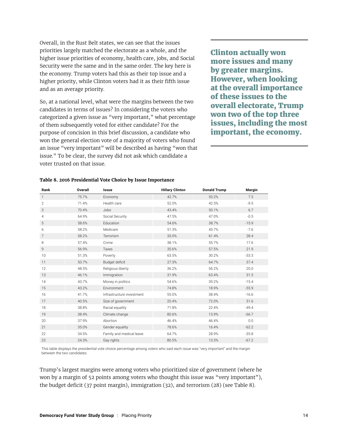Overall, in the Rust Belt states, we can see that the issues priorities largely matched the electorate as a whole, and the higher issue priorities of economy, health care, jobs, and Social Security were the same and in the same order. The key here is the economy. Trump voters had this as their top issue and a higher priority, while Clinton voters had it as their fifth issue and as an average priority.

So, at a national level, what were the margins between the two candidates in terms of issues? In considering the voters who categorized a given issue as "very important," what percentage of them subsequently voted for either candidate? For the purpose of concision in this brief discussion, a candidate who won the general election vote of a majority of voters who found an issue "very important" will be described as having "won that issue." To be clear, the survey did not ask which candidate a voter trusted on that issue.

Clinton actually won more issues and many by greater margins. However, when looking at the overall importance of these issues to the overall electorate, Trump won two of the top three issues, including the most important, the economy.

| Rank           | <b>Overall</b> | <b>Issue</b>              | <b>Hillary Clinton</b> | <b>Donald Trump</b> | Margin  |
|----------------|----------------|---------------------------|------------------------|---------------------|---------|
| $\mathbf{1}$   | 75.7%          | Economy                   | 42.7%                  | 50.2%               | 7.5     |
| $\overline{2}$ | 71.4%          | Health care               | 52.0%                  | 42.5%               | $-9.5$  |
| 3              | 70.4%          | Jobs                      | 43.4%                  | 50.1%               | 6.7     |
| 4              | 64.9%          | Social Security           | 47.5%                  | 47.0%               | $-0.5$  |
| 5              | 58.6%          | Education                 | 54.6%                  | 38.7%               | $-15.9$ |
| 6              | 58.2%          | Medicare                  | 51.3%                  | 43.7%               | $-7.6$  |
| 7              | 58.2%          | Terrorism                 | 33.0%                  | 61.4%               | 28.4    |
| 8              | 57.4%          | Crime                     | 38.1%                  | 55.7%               | 17.6    |
| 9              | 56.9%          | Taxes                     | 35.6%                  | 57.5%               | 21.9    |
| 10             | 51.3%          | Poverty                   | 63.5%                  | 30.2%               | $-33.3$ |
| 11             | 50.7%          | Budget deficit            | 27.3%                  | 64.7%               | 37.4    |
| 12             | 48.5%          | Religious liberty         | 36.2%                  | 56.2%               | 20.0    |
| 13             | 46.1%          | Immigration               | 31.9%                  | 63.4%               | 31.5    |
| 14             | 43.7%          | Money in politics         | 54.6%                  | 39.2%               | $-15.4$ |
| 15             | 43.2%          | Environment               | 74.8%                  | 18.9%               | $-55.9$ |
| 16             | 41.7%          | Infrastructure investment | 55.0%                  | 38.4%               | $-16.6$ |
| 17             | 40.5%          | Size of government        | 20.4%                  | 72.0%               | 51.6    |
| 18             | 38.8%          | Racial equality           | 71.8%                  | 22.4%               | $-49.4$ |
| 19             | 38.4%          | Climate change            | 80.6%                  | 13.9%               | $-66.7$ |
| 20             | 37.9%          | Abortion                  | 46.4%                  | 46.4%               | 0.0     |
| 21             | 35.0%          | Gender equality           | 78.6%                  | 16.4%               | $-62.2$ |
| 22             | 34.5%          | Family and medical leave  | 64.7%                  | 28.9%               | $-35.8$ |
| 23             | 24.3%          | Gay rights                | 80.5%                  | 13.3%               | $-67.2$ |

#### **Table 8. 2016 Presidential Vote Choice by Issue Importance**

This table displays the presidential vote choice percentage among voters who said each issue was "very important" and the margin between the two candidates.

Trump's largest margins were among voters who prioritized size of government (where he won by a margin of 52 points among voters who thought this issue was "very important"), the budget deficit (37 point margin), immigration (32), and terrorism (28) (see Table 8).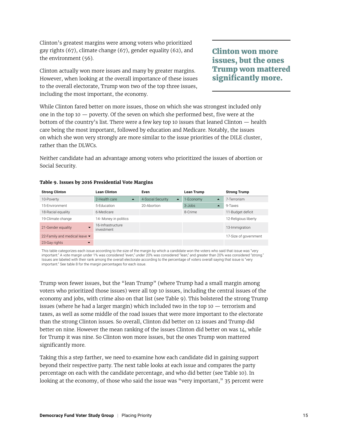Clinton's greatest margins were among voters who prioritized gay rights (67), climate change (67), gender equality (62), and the environment (56).

Clinton actually won more issues and many by greater margins. However, when looking at the overall importance of these issues to the overall electorate, Trump won two of the top three issues, including the most important, the economy.

Clinton won more issues, but the ones Trump won mattered significantly more.

While Clinton fared better on more issues, those on which she was strongest included only one in the top 10 — poverty. Of the seven on which she performed best, five were at the bottom of the country's list. There were a few key top 10 issues that leaned Clinton — health care being the most important, followed by education and Medicare. Notably, the issues on which she won very strongly are more similar to the issue priorities of the DILE cluster, rather than the DLWCs.

Neither candidate had an advantage among voters who prioritized the issues of abortion or Social Security.

| <b>Strong Clinton</b>                          | Lean Clinton                      | Even                                  | Lean Trump                    | <b>Strong Trump</b>   |
|------------------------------------------------|-----------------------------------|---------------------------------------|-------------------------------|-----------------------|
| 10-Poverty                                     | 2-Health care<br>$\blacktriangle$ | 4-Social Security<br>$\blacktriangle$ | 1-Economy<br>$\blacktriangle$ | 7-Terrorism           |
| 15-Environment                                 | 5-Education                       | 20-Abortion                           | 3-Jobs<br>$\blacktriangle$    | 9-Taxes               |
| 18-Racial equality                             | 6-Medicare                        |                                       | 8-Crime                       | 11-Budget deficit     |
| 19-Climate change                              | 14- Money in politics             |                                       |                               | 12-Religious liberty  |
| 21-Gender equality<br>$\overline{\phantom{a}}$ | 16-Infrastructure<br>investment   |                                       |                               | 13-Immigration        |
| 22-Family and medical leave ▼                  |                                   |                                       |                               | 17-Size of government |
| 23-Gay rights<br>$\overline{\phantom{a}}$      |                                   |                                       |                               |                       |

#### **Table 9. Issues by 2016 Presidential Vote Margins**

This table categorizes each issue according to the size of the margin by which a candidate won the voters who said that issue was "very important." A vote margin under 1% was considered "even," under 20% was considered "lean," and greater than 20% was considered "strong." Issues are labeled with their rank among the overall electorate according to the percentage of voters overall saying that issue is "very important." See table 8 for the margin percentages for each issue.

Trump won fewer issues, but the "lean Trump" (where Trump had a small margin among voters who prioritized those issues) were all top 10 issues, including the central issues of the economy and jobs, with crime also on that list (see Table 9). This bolstered the strong Trump issues (where he had a larger margin) which included two in the top 10 — terrorism and taxes, as well as some middle of the road issues that were more important to the electorate than the strong Clinton issues. So overall, Clinton did better on 12 issues and Trump did better on nine. However the mean ranking of the issues Clinton did better on was 14, while for Trump it was nine. So Clinton won more issues, but the ones Trump won mattered significantly more.

Taking this a step farther, we need to examine how each candidate did in gaining support beyond their respective party. The next table looks at each issue and compares the party percentage on each with the candidate percentage, and who did better (see Table 10). In looking at the economy, of those who said the issue was "very important," 35 percent were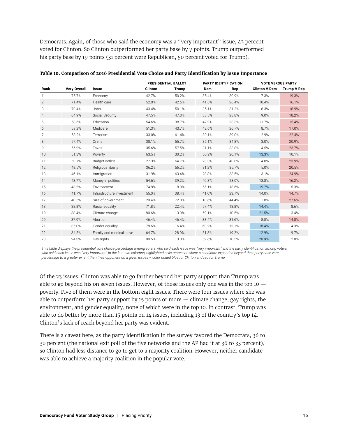Democrats. Again, of those who said the economy was a "very important" issue, 43 percent voted for Clinton. So Clinton outperformed her party base by 7 points. Trump outperformed his party base by 19 points (31 percent were Republican, 50 percent voted for Trump).

|                |                     |                           | <b>PRESIDENTIAL BALLOT</b> |              | PARTY IDENTIFICATION |       | <b>VOTE VERSUS PARTY</b> |             |
|----------------|---------------------|---------------------------|----------------------------|--------------|----------------------|-------|--------------------------|-------------|
| Rank           | <b>Very Overall</b> | Issue                     | <b>Clinton</b>             | <b>Trump</b> | Dem                  | Rep   | <b>Clinton V Dem</b>     | Trump V Rep |
|                | 75.7%               | Economy                   | 42.7%                      | 50.2%        | 35.4%                | 30.9% | 7.3%                     | 19.3%       |
| $\overline{2}$ | 71.4%               | Health care               | 52.0%                      | 42.5%        | 41.6%                | 26.4% | 10.4%                    | 16.1%       |
| 3              | 70.4%               | Jobs                      | 43.4%                      | 50.1%        | 35.1%                | 31.2% | 8.3%                     | 18.9%       |
| $\overline{4}$ | 64.9%               | Social Security           | 47.5%                      | 47.0%        | 38.5%                | 28.8% | 9.0%                     | 18.2%       |
| 5              | 58.6%               | Education                 | 54.6%                      | 38.7%        | 42.9%                | 23.3% | 11.7%                    | 15.4%       |
| 6              | 58.2%               | Medicare                  | 51.3%                      | 43.7%        | 42.6%                | 26.7% | 8.7%                     | 17.0%       |
| 7              | 58.2%               | Terrorism                 | 33.0%                      | 61.4%        | 30.1%                | 39.0% | 2.9%                     | 22.4%       |
| 8              | 57.4%               | Crime                     | 38.1%                      | 55.7%        | 35.1%                | 34.8% | 3.0%                     | 20.9%       |
| 9              | 56.9%               | Taxes                     | 35.6%                      | 57.5%        | 31.1%                | 33.8% | 4.5%                     | 23.7%       |
| 10             | 51.3%               | Poverty                   | 63.5%                      | 30.2%        | 50.2%                | 20.1% | 13.3%                    | 10.1%       |
| 11             | 50.7%               | Budget deficit            | 27.3%                      | 64.7%        | 23.3%                | 40.8% | 4.0%                     | 23.9%       |
| 12             | 48.5%               | Religious liberty         | 36.2%                      | 56.2%        | 31.2%                | 35.7% | 5.0%                     | 20.5%       |
| 13             | 46.1%               | Immigration               | 31.9%                      | 63.4%        | 28.8%                | 38.5% | 3.1%                     | 24.9%       |
| 14             | 43.7%               | Money in politics         | 54.6%                      | 39.2%        | 40.8%                | 23.0% | 13.8%                    | 16.2%       |
| 15             | 43.2%               | Environment               | 74.8%                      | 18.9%        | 55.1%                | 13.6% | 19.7%                    | 5.3%        |
| 16             | 41.7%               | Infrastructure investment | 55.0%                      | 38.4%        | 41.0%                | 23.7% | 14.0%                    | 14.7%       |
| 17             | 40.5%               | Size of government        | 20.4%                      | 72.0%        | 18.6%                | 44.4% | 1.8%                     | 27.6%       |
| 18             | 38.8%               | Racial equality           | 71.8%                      | 22.4%        | 57.4%                | 13.8% | 14.4%                    | 8.6%        |
| 19             | 38.4%               | Climate change            | 80.6%                      | 13.9%        | 59.1%                | 10.5% | 21.5%                    | 3.4%        |
| 20             | 37.9%               | Abortion                  | 46.4%                      | 46.4%        | 38.4%                | 31.6% | 8.0%                     | 14.8%       |
| 21             | 35.0%               | Gender equality           | 78.6%                      | 16.4%        | 60.2%                | 12.1% | 18.4%                    | 4.3%        |
| 22             | 34.5%               | Family and medical leave  | 64.7%                      | 28.9%        | 51.8%                | 19.2% | 12.9%                    | 9.7%        |
| 23             | 24.3%               | Gay rights                | 80.5%                      | 13.3%        | 59.6%                | 10.5% | 20.9%                    | 2.8%        |

**Table 10. Comparison of 2016 Presidential Vote Choice and Party Identification by Issue Importance**

*This table displays the presidential vote choice percentage among voters who said each issue was "very important" and the party identification among voters*  who said each issue was "very important." In the last two columns, highlighted cells represent where a candidate expanded beyond their party base vote *percentage to a greater extent than their opponent on a given issues – color coded blue for Clinton and red for Trump.*

Of the 23 issues, Clinton was able to go farther beyond her party support than Trump was able to go beyond his on seven issues. However, of those issues only one was in the top  $10$ poverty. Five of them were in the bottom eight issues. There were four issues where she was able to outperform her party support by 15 points or more — climate change, gay rights, the environment, and gender equality, none of which were in the top 10. In contrast, Trump was able to do better by more than 15 points on 14 issues, including 13 of the country's top 14. Clinton's lack of reach beyond her party was evident.

There is a caveat here, as the party identification in the survey favored the Democrats, 36 to 30 percent (the national exit poll of the five networks and the AP had it at 36 to 33 percent), so Clinton had less distance to go to get to a majority coalition. However, neither candidate was able to achieve a majority coalition in the popular vote.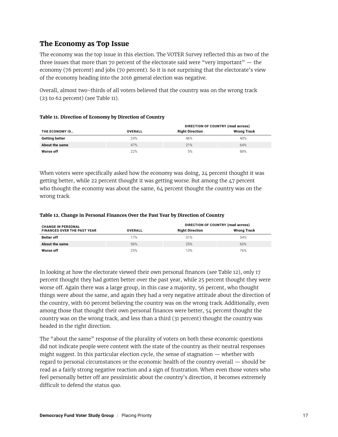### **The Economy as Top Issue**

The economy was the top issue in this election. The VOTER Survey reflected this as two of the three issues that more than 70 percent of the electorate said were "very important" — the economy (76 percent) and jobs (70 percent). So it is not surprising that the electorate's view of the economy heading into the 2016 general election was negative.

Overall, almost two-thirds of all voters believed that the country was on the wrong track (23 to 62 percent) (see Table 11).

| Table 11. Direction of Economy by Direction of Country |
|--------------------------------------------------------|
|--------------------------------------------------------|

|                       |                | DIRECTION OF COUNTRY (read across) |                    |  |  |  |
|-----------------------|----------------|------------------------------------|--------------------|--|--|--|
| THE ECONOMY IS        | <b>OVERALL</b> | <b>Right Direction</b>             | <b>Wrong Track</b> |  |  |  |
| <b>Getting better</b> | 24%            | 46%                                | 40%                |  |  |  |
| About the same        | 47%            | 21%                                | 64%                |  |  |  |
| Worse off             | 22%            | 5%                                 | 88%                |  |  |  |

When voters were specifically asked how the economy was doing, 24 percent thought it was getting better, while 22 percent thought it was getting worse. But among the 47 percent who thought the economy was about the same, 64 percent thought the country was on the wrong track.

| <b>CHANGE IN PERSONAL</b>          |                | DIRECTION OF COUNTRY (read across) |             |
|------------------------------------|----------------|------------------------------------|-------------|
| <b>FINANCES OVER THE PAST YEAR</b> | <b>OVERALL</b> | <b>Right Direction</b>             | Wrong Track |
| <b>Better off</b>                  | 17%            | 31%                                | 54%         |
| About the same                     | 56%            | 25%                                | 60%         |
| Worse off                          | 25%            | 13%                                | 76%         |

#### **Table 12. Change in Personal Finances Over the Past Year by Direction of Country**

In looking at how the electorate viewed their own personal finances (see Table 12), only 17 percent thought they had gotten better over the past year, while 25 percent thought they were worse off. Again there was a large group, in this case a majority, 56 percent, who thought things were about the same, and again they had a very negative attitude about the direction of the country, with 60 percent believing the country was on the wrong track. Additionally, even among those that thought their own personal finances were better, 54 percent thought the country was on the wrong track, and less than a third (31 percent) thought the country was headed in the right direction.

The "about the same" response of the plurality of voters on both these economic questions did not indicate people were content with the state of the country as their neutral responses might suggest. In this particular election cycle, the sense of stagnation — whether with regard to personal circumstances or the economic health of the country overall — should be read as a fairly strong negative reaction and a sign of frustration. When even those voters who feel personally better off are pessimistic about the country's direction, it becomes extremely difficult to defend the status quo.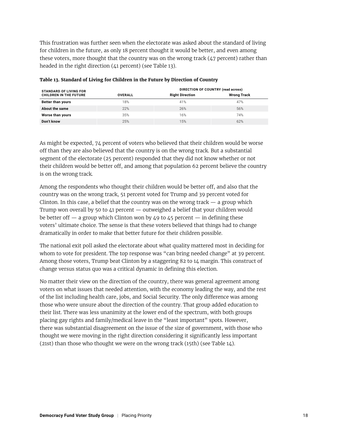This frustration was further seen when the electorate was asked about the standard of living for children in the future, as only 18 percent thought it would be better, and even among these voters, more thought that the country was on the wrong track (47 percent) rather than headed in the right direction (41 percent) (see Table 13).

| <b>STANDARD OF LIVING FOR</b> | DIRECTION OF COUNTRY (read across) |                        |                    |  |  |  |  |  |
|-------------------------------|------------------------------------|------------------------|--------------------|--|--|--|--|--|
| <b>CHILDREN IN THE FUTURE</b> | <b>OVERALL</b>                     | <b>Right Direction</b> | <b>Wrong Track</b> |  |  |  |  |  |
| <b>Better than yours</b>      | 18%                                | 41%                    | 47%                |  |  |  |  |  |
| About the same                | 22%                                | 26%                    | 56%                |  |  |  |  |  |
| Worse than yours              | 35%                                | 16%                    | 74%                |  |  |  |  |  |
| Don't know                    | 25%                                | 15%                    | 62%                |  |  |  |  |  |

#### **Table 13. Standard of Living for Children in the Future by Direction of Country**

As might be expected, 74 percent of voters who believed that their children would be worse off than they are also believed that the country is on the wrong track. But a substantial segment of the electorate (25 percent) responded that they did not know whether or not their children would be better off, and among that population 62 percent believe the country is on the wrong track.

Among the respondents who thought their children would be better off, and also that the country was on the wrong track, 51 percent voted for Trump and 39 percent voted for Clinton. In this case, a belief that the country was on the wrong track  $-$  a group which Trump won overall by 50 to 41 percent — outweighed a belief that your children would be better off  $-$  a group which Clinton won by 49 to 45 percent  $-$  in defining these voters' ultimate choice. The sense is that these voters believed that things had to change dramatically in order to make that better future for their children possible.

The national exit poll asked the electorate about what quality mattered most in deciding for whom to vote for president. The top response was "can bring needed change" at 39 percent. Among those voters, Trump beat Clinton by a staggering 82 to 14 margin. This construct of change versus status quo was a critical dynamic in defining this election.

No matter their view on the direction of the country, there was general agreement among voters on what issues that needed attention, with the economy leading the way, and the rest of the list including health care, jobs, and Social Security. The only difference was among those who were unsure about the direction of the country. That group added education to their list. There was less unanimity at the lower end of the spectrum, with both groups placing gay rights and family/medical leave in the "least important" spots. However, there was substantial disagreement on the issue of the size of government, with those who thought we were moving in the right direction considering it significantly less important (21st) than those who thought we were on the wrong track (15th) (see Table 14).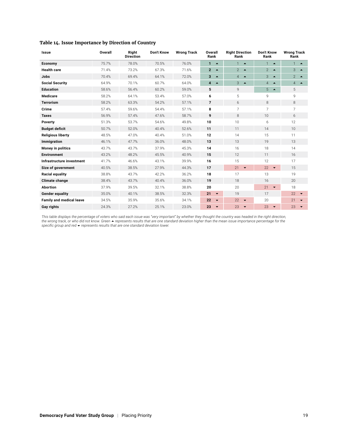| Issue                           | Overall | Right<br><b>Direction</b> | <b>Don't Know</b> | <b>Wrong Track</b> | Overall<br>Rank                             | <b>Right Direction</b><br>Rank     | Don't Know<br>Rank                 | <b>Wrong Track</b><br>Rank         |  |
|---------------------------------|---------|---------------------------|-------------------|--------------------|---------------------------------------------|------------------------------------|------------------------------------|------------------------------------|--|
| Economy                         | 75.7%   | 78.0%                     | 70.5%             | 76.0%              | $\mathbf{1}$<br>$\blacktriangle$            | $\mathbf{1}$<br>$\blacktriangle$   | $\mathbf{1}$<br>$\blacktriangle$   | $\blacktriangle$                   |  |
| <b>Health care</b>              | 71.4%   | 73.2%                     | 67.3%             | 71.6%              | $\overline{2}$<br>$\blacktriangle$          | $\overline{2}$<br>$\blacktriangle$ | $\overline{2}$<br>$\blacktriangle$ | 3<br>$\blacktriangle$              |  |
| Jobs                            | 70.4%   | 69.4%                     | 64.1%             | 72.0%              | 3<br>$\blacktriangle$                       | $\overline{4}$<br>$\blacktriangle$ | 3<br>$\blacktriangle$              | 2 $\blacktriangle$                 |  |
| <b>Social Security</b>          | 64.9%   | 70.1%                     | 60.7%             | 64.0%              | $\overline{\mathbf{4}}$<br>$\blacktriangle$ | 3<br>$\blacktriangle$              | $\overline{4}$<br>$\blacktriangle$ | $\overline{4}$<br>$\blacktriangle$ |  |
| <b>Education</b>                | 58.6%   | 56.4%                     | 60.2%             | 59.0%              | 5                                           | 9                                  | 5<br>$\blacktriangle$              | 5                                  |  |
| <b>Medicare</b>                 | 58.2%   | 64.1%                     | 53.4%             | 57.0%              | 6                                           | 5                                  | 9                                  | 9                                  |  |
| <b>Terrorism</b>                | 58.2%   | 63.3%                     | 54.2%             | 57.1%              | $\overline{7}$                              | 6                                  | 8                                  | 8                                  |  |
| Crime                           | 57.4%   | 59.6%                     | 54.4%             | 57.1%              | 8                                           | $\overline{7}$                     | 7                                  | 7                                  |  |
| <b>Taxes</b>                    | 56.9%   | 57.4%                     | 47.6%             | 58.7%              | 9                                           | 8                                  | 10                                 | 6                                  |  |
| Poverty                         | 51.3%   | 53.7%                     | 54.6%             | 49.8%              | 10                                          | 10                                 | 6                                  | 12                                 |  |
| <b>Budget deficit</b>           | 50.7%   | 52.0%                     | 40.4%             | 52.6%              | 11                                          | 11                                 | 14                                 | 10                                 |  |
| <b>Religious liberty</b>        | 48.5%   | 47.0%                     | 40.4%             | 51.0%              | 12                                          | 14                                 | 15                                 | 11                                 |  |
| Immigration                     | 46.1%   | 47.7%                     | 36.0%             | 48.0%              | 13                                          | 13                                 | 19                                 | 13                                 |  |
| <b>Money in politics</b>        | 43.7%   | 43.7%                     | 37.9%             | 45.3%              | 14                                          | 16                                 | 18                                 | 14                                 |  |
| <b>Environment</b>              | 43.2%   | 48.2%                     | 45.5%             | 40.9%              | 15                                          | 12                                 | 11                                 | 16                                 |  |
| Infrastructure investment       | 41.7%   | 46.6%                     | 43.1%             | 39.9%              | 16                                          | 15                                 | 12                                 | 17                                 |  |
| Size of government              | 40.5%   | 38.5%                     | 27.9%             | 44.3%              | 17                                          | 21<br>$\overline{\phantom{a}}$     | 22<br>$\overline{\phantom{a}}$     | 15                                 |  |
| Racial equality                 | 38.8%   | 43.7%                     | 42.2%             | 36.2%              | 18                                          | 17                                 | 13                                 | 19                                 |  |
| <b>Climate change</b>           | 38.4%   | 43.7%                     | 40.4%             | 36.0%              | 19                                          | 18                                 | 16                                 | 20                                 |  |
| <b>Abortion</b>                 | 37.9%   | 39.5%                     | 32.1%             | 38.8%              | 20                                          | 20                                 | 21<br>$\blacktriangledown$         | 18                                 |  |
| <b>Gender equality</b>          | 35.0%   | 40.1%                     | 38.5%             | 32.3%              | 21<br>$\blacktriangledown$                  | 19                                 | 17                                 | 22<br>$\overline{\phantom{a}}$     |  |
| <b>Family and medical leave</b> | 34.5%   | 35.9%                     | 35.6%             | 34.1%              | 22<br>$\blacktriangledown$                  | 22<br>$\overline{\phantom{0}}$     | 20                                 | 21<br>$\overline{\phantom{a}}$     |  |
| Gay rights                      | 24.3%   | 27.2%                     | 25.1%             | 23.0%              | 23<br>$\blacktriangledown$                  | 23<br>$\blacktriangledown$         | 23<br>$\blacktriangledown$         | 23<br>$\overline{\phantom{a}}$     |  |

#### **Table 14. Issue Importance by Direction of Country**

*This table displays the percentage of voters who said each issue was "very important" by whether they thought the country was headed in the right direction,*  the wrong track, or who did not know. Green ▲ represents results that are one standard deviation higher than the mean issue importance percentage for the<br>specific group and red ▼ represents results that are one standard d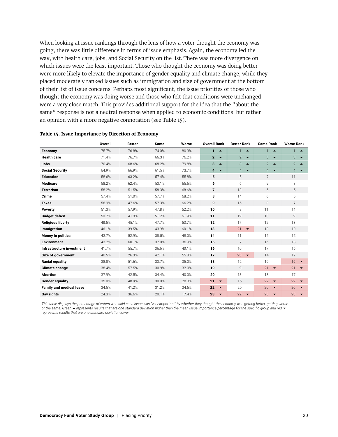When looking at issue rankings through the lens of how a voter thought the economy was going, there was little difference in terms of issue emphasis. Again, the economy led the way, with health care, jobs, and Social Security on the list. There was more divergence on which issues were the least important. Those who thought the economy was doing better were more likely to elevate the importance of gender equality and climate change, while they placed moderately ranked issues such as immigration and size of government at the bottom of their list of issue concerns. Perhaps most significant, the issue priorities of those who thought the economy was doing worse and those who felt that conditions were unchanged were a very close match. This provides additional support for the idea that the "about the same" response is not a neutral response when applied to economic conditions, but rather an opinion with a more negative connotation (see Table 15).

|                                 | <b>Overall</b> | <b>Better</b> | Same  | Worse | <b>Overall Rank</b>                | <b>Better Rank</b>                 |                                    | <b>Worse Rank</b>                  |  |
|---------------------------------|----------------|---------------|-------|-------|------------------------------------|------------------------------------|------------------------------------|------------------------------------|--|
| Economy                         | 75.7%          | 76.8%         | 74.0% | 80.3% | 1<br>$\blacktriangle$              | 1<br>$\blacktriangle$              | $\mathbf{1}$<br>$\blacktriangle$   | 1<br>$\rightarrow$                 |  |
| <b>Health care</b>              | 71.4%          | 76.7%         | 66.3% | 76.2% | $\overline{2}$<br>$\blacktriangle$ | $\overline{2}$<br>$\blacktriangle$ | 3<br>$\blacktriangle$              | 3<br>$\blacktriangle$              |  |
| Jobs                            | 70.4%          | 68.6%         | 68.2% | 79.8% | $\overline{3}$<br>$\blacktriangle$ | 3<br>$\blacktriangle$              | $\overline{2}$<br>$\blacktriangle$ | $\overline{2}$<br>$\blacktriangle$ |  |
| <b>Social Security</b>          | 64.9%          | 66.9%         | 61.5% | 73.7% | $\overline{4}$<br>$\blacktriangle$ | $\overline{4}$<br>$\blacktriangle$ | $\overline{4}$<br>$\blacktriangle$ | $\overline{4}$<br>$\rightarrow$    |  |
| <b>Education</b>                | 58.6%          | 63.2%         | 57.4% | 55.8% | 5                                  | 5                                  | 7                                  | 11                                 |  |
| <b>Medicare</b>                 | 58.2%          | 62.4%         | 53.1% | 65.6% | 6                                  | 6                                  | 9                                  | 8                                  |  |
| <b>Terrorism</b>                | 58.2%          | 51.5%         | 58.3% | 68.6% | $\overline{\phantom{a}}$           | 13                                 | 5                                  | 5                                  |  |
| Crime                           | 57.4%          | 51.0%         | 57.7% | 68.2% | 8                                  | 14                                 | 6                                  | 6                                  |  |
| <b>Taxes</b>                    | 56.9%          | 47.6%         | 57.3% | 66.2% | 9                                  | 16                                 | 8                                  | $\overline{7}$                     |  |
| Poverty                         | 51.3%          | 57.9%         | 47.8% | 52.2% | 10                                 | 8                                  | 11                                 | 14                                 |  |
| <b>Budget deficit</b>           | 50.7%          | 41.3%         | 51.2% | 61.9% | 11                                 | 19                                 | 10                                 | $\mathsf{Q}$                       |  |
| <b>Religious liberty</b>        | 48.5%          | 45.1%         | 47.7% | 53.7% | 12                                 | 17                                 | 12                                 | 13                                 |  |
| Immigration                     | 46.1%          | 39.5%         | 43.9% | 60.1% | 13                                 | 21<br>$\blacktriangledown$         | 13                                 | 10                                 |  |
| Money in politics               | 43.7%          | 52.9%         | 38.5% | 48.0% | 14                                 | 11                                 | 15                                 | 15                                 |  |
| <b>Environment</b>              | 43.2%          | 60.1%         | 37.0% | 36.9% | 15                                 | $\overline{7}$                     | 16                                 | 18                                 |  |
| Infrastructure investment       | 41.7%          | 55.7%         | 36.6% | 40.1% | 16                                 | 10                                 | 17                                 | 16                                 |  |
| Size of government              | 40.5%          | 26.3%         | 42.1% | 55.8% | 17                                 | 23<br>$\overline{\phantom{a}}$     | 14                                 | 12                                 |  |
| <b>Racial equality</b>          | 38.8%          | 51.6%         | 33.7% | 35.0% | 18                                 | 12                                 | 19                                 | 19<br>$\blacktriangledown$         |  |
| <b>Climate change</b>           | 38.4%          | 57.5%         | 30.9% | 32.0% | 19                                 | 9                                  | 21<br>$\overline{\phantom{0}}$     | 21<br>$\blacktriangledown$         |  |
| <b>Abortion</b>                 | 37.9%          | 42.5%         | 34.4% | 40.0% | 20                                 | 18                                 | 18                                 | 17                                 |  |
| <b>Gender equality</b>          | 35.0%          | 48.9%         | 30.0% | 28.3% | 21<br>$\blacktriangledown$         | 15                                 | 22<br>$\overline{\phantom{a}}$     | 22<br>$\blacktriangledown$         |  |
| <b>Family and medical leave</b> | 34.5%          | 41.2%         | 31.2% | 34.5% | 22<br>$\blacktriangledown$         | 20                                 | 20<br>$\overline{\phantom{0}}$     | 20<br>$\blacktriangledown$         |  |
| Gay rights                      | 24.3%          | 36.6%         | 20.1% | 17.4% | 23<br>$\blacktriangledown$         | 22<br>$\overline{\phantom{a}}$     | 23<br>$\blacktriangledown$         | 23<br>$\blacktriangledown$         |  |

#### **Table 15. Issue Importance by Direction of Economy**

*This table displays the percentage of voters who said each issue was "very important" by whether they thought the economy was getting better, getting worse, or the same. Green* ~ *represents results that are one standard deviation higher than the mean issue importance percentage for the specific group and red represents results that are one standard deviation lower.*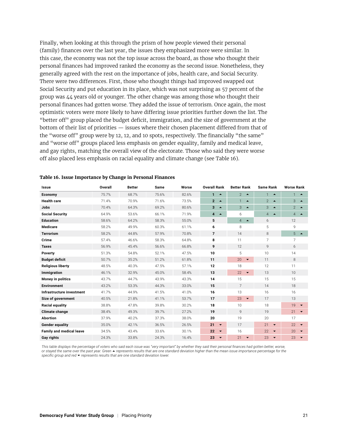Finally, when looking at this through the prism of how people viewed their personal (family) finances over the last year, the issues they emphasized more were similar. In this case, the economy was not the top issue across the board, as those who thought their personal finances had improved ranked the economy as the second issue. Nonetheless, they generally agreed with the rest on the importance of jobs, health care, and Social Security. There were two differences. First, those who thought things had improved swapped out Social Security and put education in its place, which was not surprising as 57 percent of the group was 44 years old or younger. The other change was among those who thought their personal finances had gotten worse. They added the issue of terrorism. Once again, the most optimistic voters were more likely to have differing issue priorities further down the list. The "better off" group placed the budget deficit, immigration, and the size of government at the bottom of their list of priorities — issues where their chosen placement differed from that of the "worse off" group were by 12, 12, and 10 spots, respectively. The financially "the same" and "worse off" groups placed less emphasis on gender equality, family and medical leave, and gay rights, matching the overall view of the electorate. Those who said they were worse off also placed less emphasis on racial equality and climate change (see Table 16).

| <b>Issue</b>                    | <b>Overall</b> | <b>Better</b> | Same  | Worse | <b>Overall Rank</b>                | <b>Better Rank</b>                 |                                    | <b>Worse Rank</b>                  |  |
|---------------------------------|----------------|---------------|-------|-------|------------------------------------|------------------------------------|------------------------------------|------------------------------------|--|
| Economy                         | 75.7%          | 68.7%         | 75.6% | 82.6% | $\mathbf{1}$<br>$\blacktriangle$   | $2^{\circ}$<br>$\blacktriangle$    | 1<br>$\blacktriangle$              | $\blacktriangle$                   |  |
| <b>Health care</b>              | 71.4%          | 70.9%         | 71.6% | 73.5% | $\overline{2}$<br>$\blacktriangle$ | $\mathbf{1}$<br>$\blacktriangle$   | $\overline{2}$<br>$\blacktriangle$ | 3<br>$\blacktriangle$              |  |
| Jobs                            | 70.4%          | 64.3%         | 69.2% | 80.6% | $3 - 4$                            | 3<br>$\blacktriangle$              | 3<br>$\blacktriangle$              | 2 $\blacktriangle$                 |  |
| <b>Social Security</b>          | 64.9%          | 53.6%         | 66.1% | 71.9% | $\overline{4}$<br>$\blacktriangle$ | 6                                  | $\overline{4}$<br>$\blacktriangle$ | $\overline{4}$<br>$\blacktriangle$ |  |
| <b>Education</b>                | 58.6%          | 64.2%         | 58.3% | 55.0% | 5                                  | $\overline{4}$<br>$\blacktriangle$ | 6                                  | 12                                 |  |
| <b>Medicare</b>                 | 58.2%          | 49.9%         | 60.3% | 61.1% | 6                                  | 8                                  | 5                                  | 9                                  |  |
| <b>Terrorism</b>                | 58.2%          | 44.8%         | 57.9% | 70.8% | $\overline{7}$                     | 14                                 | 8                                  | 5<br>$\blacktriangle$              |  |
| Crime                           | 57.4%          | 46.6%         | 58.3% | 64.8% | 8                                  | 11                                 | 7                                  | 7                                  |  |
| <b>Taxes</b>                    | 56.9%          | 45.4%         | 56.6% | 66.8% | 9                                  | 12                                 | 9                                  | 6                                  |  |
| Poverty                         | 51.3%          | 54.8%         | 52.1% | 47.5% | 10                                 | 5                                  | 10                                 | 14                                 |  |
| <b>Budget deficit</b>           | 50.7%          | 35.2%         | 51.2% | 61.8% | 11                                 | 20<br>$\overline{\phantom{a}}$     | 11                                 | 8                                  |  |
| <b>Religious liberty</b>        | 48.5%          | 40.3%         | 47.5% | 57.1% | 12                                 | 18                                 | 12                                 | 11                                 |  |
| Immigration                     | 46.1%          | 32.9%         | 45.0% | 58.4% | 13                                 | 22<br>$\blacktriangledown$         | 13                                 | 10                                 |  |
| Money in politics               | 43.7%          | 44.7%         | 43.9% | 43.3% | 14                                 | 15                                 | 15                                 | 15                                 |  |
| <b>Environment</b>              | 43.2%          | 53.3%         | 44.3% | 33.0% | 15                                 | $\overline{7}$                     | 14                                 | 18                                 |  |
| Infrastructure investment       | 41.7%          | 44.9%         | 41.5% | 41.0% | 16                                 | 13                                 | 16                                 | 16                                 |  |
| Size of government              | 40.5%          | 21.8%         | 41.1% | 53.7% | 17                                 | 23<br>$\blacktriangledown$         | 17                                 | 13                                 |  |
| Racial equality                 | 38.8%          | 47.8%         | 39.8% | 30.2% | 18                                 | 10                                 | 18                                 | 19<br>$\overline{\phantom{0}}$     |  |
| <b>Climate change</b>           | 38.4%          | 49.3%         | 39.7% | 27.2% | 19                                 | 9                                  | 19                                 | 21<br>$\overline{\phantom{a}}$     |  |
| <b>Abortion</b>                 | 37.9%          | 40.2%         | 37.3% | 38.0% | 20                                 | 19                                 | 20                                 | 17                                 |  |
| <b>Gender equality</b>          | 35.0%          | 42.1%         | 36.5% | 26.5% | 21<br>$\blacktriangledown$         | 17                                 | 21<br>$\blacktriangledown$         | 22<br>$\blacktriangledown$         |  |
| <b>Family and medical leave</b> | 34.5%          | 43.4%         | 33.6% | 30.1% | 22<br>$\blacktriangledown$         | 16                                 | 22<br>$\blacktriangledown$         | 20<br>$\overline{\phantom{a}}$     |  |
| <b>Gay rights</b>               | 24.3%          | 33.8%         | 24.3% | 16.4% | 23<br>$\overline{\phantom{a}}$     | 21<br>$\blacktriangledown$         | 23<br>$\overline{\phantom{0}}$     | 23<br>$\blacktriangledown$         |  |

#### **Table 16. Issue Importance by Change in Personal Finances**

This table displays the percentage of voters who said each issue was "very important" by whether they said their personal finances had gotten better, worse, *or stayed the same over the past year. Green ▲ represents results that are one standard deviation higher than the mean issue importance percentage for the specific group and red represents results that are one standard deviation lower.*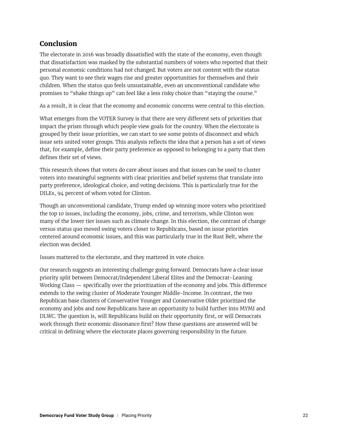# **Conclusion**

The electorate in 2016 was broadly dissatisfied with the state of the economy, even though that dissatisfaction was masked by the substantial numbers of voters who reported that their personal economic conditions had not changed. But voters are not content with the status quo. They want to see their wages rise and greater opportunities for themselves and their children. When the status quo feels unsustainable, even an unconventional candidate who promises to "shake things up" can feel like a less risky choice than "staying the course."

As a result, it is clear that the economy and economic concerns were central to this election.

What emerges from the VOTER Survey is that there are very different sets of priorities that impact the prism through which people view goals for the country. When the electorate is grouped by their issue priorities, we can start to see some points of disconnect and which issue sets united voter groups. This analysis reflects the idea that a person has a set of views that, for example, define their party preference as opposed to belonging to a party that then defines their set of views.

This research shows that voters do care about issues and that issues can be used to cluster voters into meaningful segments with clear priorities and belief systems that translate into party preference, ideological choice, and voting decisions. This is particularly true for the DILEs, 94 percent of whom voted for Clinton.

Though an unconventional candidate, Trump ended up winning more voters who prioritized the top 10 issues, including the economy, jobs, crime, and terrorism, while Clinton won many of the lower tier issues such as climate change. In this election, the contrast of change versus status quo moved swing voters closer to Republicans, based on issue priorities centered around economic issues, and this was particularly true in the Rust Belt, where the election was decided.

Issues mattered to the electorate, and they mattered in vote choice.

Our research suggests an interesting challenge going forward. Democrats have a clear issue priority split between Democrat/Independent Liberal Elites and the Democrat-Leaning Working Class — specifically over the prioritization of the economy and jobs. This difference extends to the swing cluster of Moderate Younger Middle-Income. In contrast, the two Republican base clusters of Conservative Younger and Conservative Older prioritized the economy and jobs and now Republicans have an opportunity to build further into MYMI and DLWC. The question is, will Republicans build on their opportunity first, or will Democrats work through their economic dissonance first? How these questions are answered will be critical in defining where the electorate places governing responsibility in the future.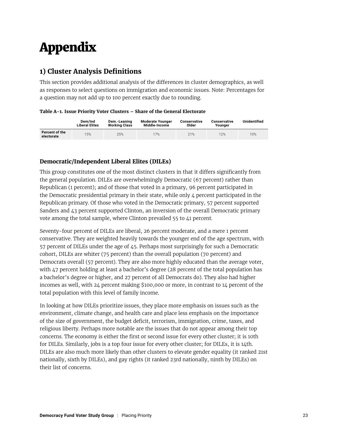# Appendix

# **1) Cluster Analysis Definitions**

This section provides additional analysis of the differences in cluster demographics, as well as responses to select questions on immigration and economic issues. Note: Percentages for a question may not add up to 100 percent exactly due to rounding.

#### **Table A-1. Issue Priority Voter Clusters – Share of the General Electorate**

|                              | Dem/Ind<br><b>Liberal Elites</b> | Dem.-Leaning<br><b>Working Class</b> | <b>Moderate Younger</b><br>Middle-Income | Conservative<br>Older | Conservative<br>Younger | Unidentified |
|------------------------------|----------------------------------|--------------------------------------|------------------------------------------|-----------------------|-------------------------|--------------|
| Percent of the<br>electorate | 15%                              | 25%                                  | 17%                                      | 21%                   | 12%                     | 10%          |

#### **Democratic/Independent Liberal Elites (DILEs)**

This group constitutes one of the most distinct clusters in that it differs significantly from the general population. DILEs are overwhelmingly Democratic (67 percent) rather than Republican (1 percent); and of those that voted in a primary, 96 percent participated in the Democratic presidential primary in their state, while only 4 percent participated in the Republican primary. Of those who voted in the Democratic primary, 57 percent supported Sanders and  $\lambda_3$  percent supported Clinton, an inversion of the overall Democratic primary vote among the total sample, where Clinton prevailed 55 to 41 percent.

Seventy-four percent of DILEs are liberal, 26 percent moderate, and a mere 1 percent conservative. They are weighted heavily towards the younger end of the age spectrum, with 57 percent of DILEs under the age of 45. Perhaps most surprisingly for such a Democratic cohort, DILEs are whiter (75 percent) than the overall population (70 percent) and Democrats overall (57 percent). They are also more highly educated than the average voter, with 47 percent holding at least a bachelor's degree (28 percent of the total population has a bachelor's degree or higher, and 27 percent of all Democrats do). They also had higher incomes as well, with 24 percent making \$100,000 or more, in contrast to 14 percent of the total population with this level of family income.

In looking at how DILEs prioritize issues, they place more emphasis on issues such as the environment, climate change, and health care and place less emphasis on the importance of the size of government, the budget deficit, terrorism, immigration, crime, taxes, and religious liberty. Perhaps more notable are the issues that do not appear among their top concerns. The economy is either the first or second issue for every other cluster; it is 10th for DILEs. Similarly, jobs is a top four issue for every other cluster; for DILEs, it is 14th. DILEs are also much more likely than other clusters to elevate gender equality (it ranked 21st nationally, sixth by DILEs), and gay rights (it ranked 23rd nationally, ninth by DILEs) on their list of concerns.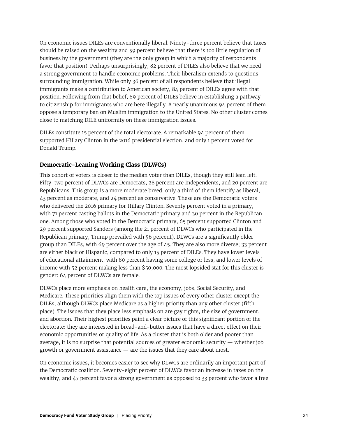On economic issues DILEs are conventionally liberal. Ninety-three percent believe that taxes should be raised on the wealthy and 59 percent believe that there is too little regulation of business by the government (they are the only group in which a majority of respondents favor that position). Perhaps unsurprisingly, 82 percent of DILEs also believe that we need a strong government to handle economic problems. Their liberalism extends to questions surrounding immigration. While only 36 percent of all respondents believe that illegal immigrants make a contribution to American society, 84 percent of DILEs agree with that position. Following from that belief, 89 percent of DILEs believe in establishing a pathway to citizenship for immigrants who are here illegally. A nearly unanimous 94 percent of them oppose a temporary ban on Muslim immigration to the United States. No other cluster comes close to matching DILE uniformity on these immigration issues.

DILEs constitute 15 percent of the total electorate. A remarkable 94 percent of them supported Hillary Clinton in the 2016 presidential election, and only 1 percent voted for Donald Trump.

#### **Democratic-Leaning Working Class (DLWCs)**

This cohort of voters is closer to the median voter than DILEs, though they still lean left. Fifty-two percent of DLWCs are Democrats, 28 percent are Independents, and 20 percent are Republicans. This group is a more moderate breed: only a third of them identify as liberal, 43 percent as moderate, and 24 percent as conservative. These are the Democratic voters who delivered the 2016 primary for Hillary Clinton. Seventy percent voted in a primary, with 71 percent casting ballots in the Democratic primary and 30 percent in the Republican one. Among those who voted in the Democratic primary, 65 percent supported Clinton and 29 percent supported Sanders (among the 21 percent of DLWCs who participated in the Republican primary, Trump prevailed with 56 percent). DLWCs are a significantly older group than DILEs, with 69 percent over the age of 45. They are also more diverse; 33 percent are either black or Hispanic, compared to only 15 percent of DILEs. They have lower levels of educational attainment, with 80 percent having some college or less, and lower levels of income with 52 percent making less than \$50,000. The most lopsided stat for this cluster is gender: 64 percent of DLWCs are female.

DLWCs place more emphasis on health care, the economy, jobs, Social Security, and Medicare. These priorities align them with the top issues of every other cluster except the DILEs, although DLWCs place Medicare as a higher priority than any other cluster (fifth place). The issues that they place less emphasis on are gay rights, the size of government, and abortion. Their highest priorities paint a clear picture of this significant portion of the electorate: they are interested in bread-and-butter issues that have a direct effect on their economic opportunities or quality of life. As a cluster that is both older and poorer than average, it is no surprise that potential sources of greater economic security — whether job growth or government assistance — are the issues that they care about most.

On economic issues, it becomes easier to see why DLWCs are ordinarily an important part of the Democratic coalition. Seventy-eight percent of DLWCs favor an increase in taxes on the wealthy, and 47 percent favor a strong government as opposed to 33 percent who favor a free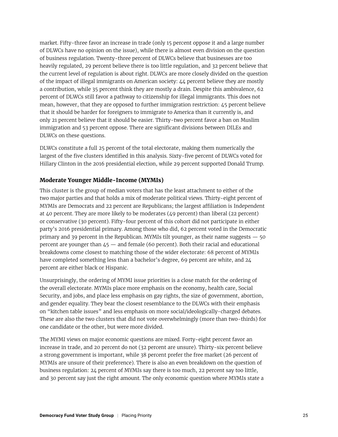market. Fifty-three favor an increase in trade (only 15 percent oppose it and a large number of DLWCs have no opinion on the issue), while there is almost even division on the question of business regulation. Twenty-three percent of DLWCs believe that businesses are too heavily regulated, 29 percent believe there is too little regulation, and 32 percent believe that the current level of regulation is about right. DLWCs are more closely divided on the question of the impact of illegal immigrants on American society: 44 percent believe they are mostly a contribution, while 35 percent think they are mostly a drain. Despite this ambivalence, 62 percent of DLWCs still favor a pathway to citizenship for illegal immigrants. This does not mean, however, that they are opposed to further immigration restriction: 45 percent believe that it should be harder for foreigners to immigrate to America than it currently is, and only 21 percent believe that it should be easier. Thirty-two percent favor a ban on Muslim immigration and 53 percent oppose. There are significant divisions between DILEs and DLWCs on these questions.

DLWCs constitute a full 25 percent of the total electorate, making them numerically the largest of the five clusters identified in this analysis. Sixty-five percent of DLWCs voted for Hillary Clinton in the 2016 presidential election, while 29 percent supported Donald Trump.

#### **Moderate Younger Middle-Income (MYMIs)**

This cluster is the group of median voters that has the least attachment to either of the two major parties and that holds a mix of moderate political views. Thirty-eight percent of MYMIs are Democrats and 22 percent are Republicans; the largest affiliation is Independent at 40 percent. They are more likely to be moderates (49 percent) than liberal (22 percent) or conservative (30 percent). Fifty-four percent of this cohort did not participate in either party's 2016 presidential primary. Among those who did, 62 percent voted in the Democratic primary and 39 percent in the Republican. MYMIs tilt younger, as their name suggests — 50 percent are younger than 45 — and female (60 percent). Both their racial and educational breakdowns come closest to matching those of the wider electorate: 68 percent of MYMIs have completed something less than a bachelor's degree, 69 percent are white, and 24 percent are either black or Hispanic.

Unsurprisingly, the ordering of MYMI issue priorities is a close match for the ordering of the overall electorate. MYMIs place more emphasis on the economy, health care, Social Security, and jobs, and place less emphasis on gay rights, the size of government, abortion, and gender equality. They bear the closest resemblance to the DLWCs with their emphasis on "kitchen table issues" and less emphasis on more social/ideologically-charged debates. These are also the two clusters that did not vote overwhelmingly (more than two-thirds) for one candidate or the other, but were more divided.

The MYMI views on major economic questions are mixed. Forty-eight percent favor an increase in trade, and 20 percent do not (32 percent are unsure). Thirty-six percent believe a strong government is important, while 38 percent prefer the free market (26 percent of MYMIs are unsure of their preference). There is also an even breakdown on the question of business regulation: 24 percent of MYMIs say there is too much, 22 percent say too little, and 30 percent say just the right amount. The only economic question where MYMIs state a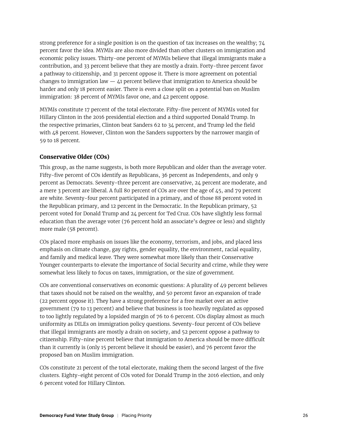strong preference for a single position is on the question of tax increases on the wealthy; 74 percent favor the idea. MYMIs are also more divided than other clusters on immigration and economic policy issues. Thirty-one percent of MYMIs believe that illegal immigrants make a contribution, and 33 percent believe that they are mostly a drain. Forty-three percent favor a pathway to citizenship, and 31 percent oppose it. There is more agreement on potential changes to immigration law  $-41$  percent believe that immigration to America should be harder and only 18 percent easier. There is even a close split on a potential ban on Muslim immigration: 38 percent of MYMIs favor one, and 42 percent oppose.

MYMIs constitute 17 percent of the total electorate. Fifty-five percent of MYMIs voted for Hillary Clinton in the 2016 presidential election and a third supported Donald Trump. In the respective primaries, Clinton beat Sanders 62 to 34 percent, and Trump led the field with 48 percent. However, Clinton won the Sanders supporters by the narrower margin of 59 to 18 percent.

#### **Conservative Older (COs)**

This group, as the name suggests, is both more Republican and older than the average voter. Fifty-five percent of COs identify as Republicans, 36 percent as Independents, and only 9 percent as Democrats. Seventy-three percent are conservative, 24 percent are moderate, and a mere 3 percent are liberal. A full 80 percent of COs are over the age of 45, and 79 percent are white. Seventy-four percent participated in a primary, and of those 88 percent voted in the Republican primary, and 12 percent in the Democratic. In the Republican primary, 52 percent voted for Donald Trump and 24 percent for Ted Cruz. COs have slightly less formal education than the average voter (76 percent hold an associate's degree or less) and slightly more male (58 percent).

COs placed more emphasis on issues like the economy, terrorism, and jobs, and placed less emphasis on climate change, gay rights, gender equality, the environment, racial equality, and family and medical leave. They were somewhat more likely than their Conservative Younger counterparts to elevate the importance of Social Security and crime, while they were somewhat less likely to focus on taxes, immigration, or the size of government.

COs are conventional conservatives on economic questions: A plurality of 49 percent believes that taxes should not be raised on the wealthy, and 50 percent favor an expansion of trade (22 percent oppose it). They have a strong preference for a free market over an active government (79 to 13 percent) and believe that business is too heavily regulated as opposed to too lightly regulated by a lopsided margin of 76 to 6 percent. COs display almost as much uniformity as DILEs on immigration policy questions. Seventy-four percent of COs believe that illegal immigrants are mostly a drain on society, and 52 percent oppose a pathway to citizenship. Fifty-nine percent believe that immigration to America should be more difficult than it currently is (only 15 percent believe it should be easier), and 76 percent favor the proposed ban on Muslim immigration.

COs constitute 21 percent of the total electorate, making them the second largest of the five clusters. Eighty-eight percent of COs voted for Donald Trump in the 2016 election, and only 6 percent voted for Hillary Clinton.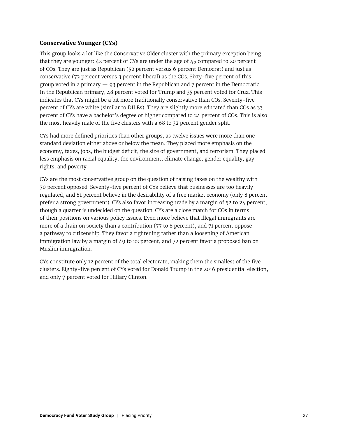#### **Conservative Younger (CYs)**

This group looks a lot like the Conservative Older cluster with the primary exception being that they are younger: 42 percent of CYs are under the age of 45 compared to 20 percent of COs. They are just as Republican (52 percent versus 6 percent Democrat) and just as conservative (72 percent versus 3 percent liberal) as the COs. Sixty-five percent of this group voted in a primary  $-93$  percent in the Republican and  $7$  percent in the Democratic. In the Republican primary, 48 percent voted for Trump and 35 percent voted for Cruz. This indicates that CYs might be a bit more traditionally conservative than COs. Seventy-five percent of CYs are white (similar to DILEs). They are slightly more educated than COs as 33 percent of CYs have a bachelor's degree or higher compared to 24 percent of COs. This is also the most heavily male of the five clusters with a 68 to 32 percent gender split.

CYs had more defined priorities than other groups, as twelve issues were more than one standard deviation either above or below the mean. They placed more emphasis on the economy, taxes, jobs, the budget deficit, the size of government, and terrorism. They placed less emphasis on racial equality, the environment, climate change, gender equality, gay rights, and poverty.

CYs are the most conservative group on the question of raising taxes on the wealthy with 70 percent opposed. Seventy-five percent of CYs believe that businesses are too heavily regulated, and 81 percent believe in the desirability of a free market economy (only 8 percent prefer a strong government). CYs also favor increasing trade by a margin of 52 to 24 percent, though a quarter is undecided on the question. CYs are a close match for COs in terms of their positions on various policy issues. Even more believe that illegal immigrants are more of a drain on society than a contribution (77 to 8 percent), and 71 percent oppose a pathway to citizenship. They favor a tightening rather than a loosening of American immigration law by a margin of 49 to 22 percent, and 72 percent favor a proposed ban on Muslim immigration.

CYs constitute only 12 percent of the total electorate, making them the smallest of the five clusters. Eighty-five percent of CYs voted for Donald Trump in the 2016 presidential election, and only 7 percent voted for Hillary Clinton.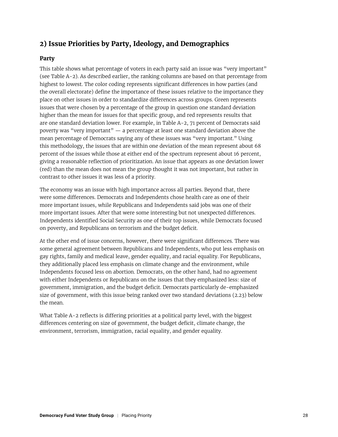# **2) Issue Priorities by Party, Ideology, and Demographics**

#### **Party**

This table shows what percentage of voters in each party said an issue was "very important" (see Table A-2). As described earlier, the ranking columns are based on that percentage from highest to lowest. The color coding represents significant differences in how parties (and the overall electorate) define the importance of these issues relative to the importance they place on other issues in order to standardize differences across groups. Green represents issues that were chosen by a percentage of the group in question one standard deviation higher than the mean for issues for that specific group, and red represents results that are one standard deviation lower. For example, in Table A-2, 71 percent of Democrats said poverty was "very important" — a percentage at least one standard deviation above the mean percentage of Democrats saying any of these issues was "very important." Using this methodology, the issues that are within one deviation of the mean represent about 68 percent of the issues while those at either end of the spectrum represent about 16 percent, giving a reasonable reflection of prioritization. An issue that appears as one deviation lower (red) than the mean does not mean the group thought it was not important, but rather in contrast to other issues it was less of a priority.

The economy was an issue with high importance across all parties. Beyond that, there were some differences. Democrats and Independents chose health care as one of their more important issues, while Republicans and Independents said jobs was one of their more important issues. After that were some interesting but not unexpected differences. Independents identified Social Security as one of their top issues, while Democrats focused on poverty, and Republicans on terrorism and the budget deficit.

At the other end of issue concerns, however, there were significant differences. There was some general agreement between Republicans and Independents, who put less emphasis on gay rights, family and medical leave, gender equality, and racial equality. For Republicans, they additionally placed less emphasis on climate change and the environment, while Independents focused less on abortion. Democrats, on the other hand, had no agreement with either Independents or Republicans on the issues that they emphasized less: size of government, immigration, and the budget deficit. Democrats particularly de-emphasized size of government, with this issue being ranked over two standard deviations (2.23) below the mean.

What Table A-2 reflects is differing priorities at a political party level, with the biggest differences centering on size of government, the budget deficit, climate change, the environment, terrorism, immigration, racial equality, and gender equality.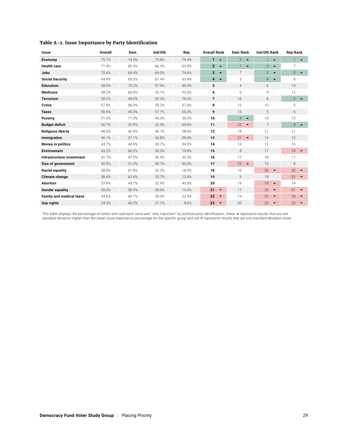| Issue                           | Overall | Dem   | Ind/Oth | Rep   | <b>Overall Rank</b>                | <b>Dem Rank</b>                |                                    | <b>Rep Rank</b>                   |  |
|---------------------------------|---------|-------|---------|-------|------------------------------------|--------------------------------|------------------------------------|-----------------------------------|--|
| Economy                         | 75.7%   | 74.5% | 73.8%   | 79.4% | $\mathbf{1}$<br>$\blacktriangle$   | $2 - 4$                        | 1<br>$\blacktriangle$              | $\mathbf{1}$<br>$\blacktriangle$  |  |
| <b>Health care</b>              | 71.4%   | 82.4% | 66.3%   | 63.9% | $2 - 4$                            | 1<br>$\blacktriangle$          | 3<br>$\blacktriangle$              | 7                                 |  |
| <b>Jobs</b>                     | 70.4%   | 68.4% | 69.0%   | 74.6% | 3<br>$\blacktriangle$              | $\overline{7}$                 | $\overline{2}$<br>$\rightarrow$    | 3<br>$\rightarrow$                |  |
| <b>Social Security</b>          | 64.9%   | 69.5% | 61.4%   | 63.4% | $\overline{4}$<br>$\blacktriangle$ | 5                              | $\overline{4}$<br>$\blacktriangle$ | 8                                 |  |
| <b>Education</b>                | 58.6%   | 70.2% | 57.4%   | 46.0% | 5                                  | $\overline{4}$                 | 6                                  | 13                                |  |
| <b>Medicare</b>                 | 58.2%   | 68.6% | 52.1%   | 52.6% | 6                                  | 6                              | 9                                  | 12                                |  |
| <b>Terrorism</b>                | 58.2%   | 48.6% | 52.3%   | 76.6% | $\overline{7}$                     | 16                             | 8                                  | $\mathcal{P}$<br>$\blacktriangle$ |  |
| Crime                           | 57.4%   | 56.0% | 50.2%   | 67.6% | 8                                  | 12                             | 10                                 | 5                                 |  |
| <b>Taxes</b>                    | 56.9%   | 49.3% | 57.7%   | 65.3% | 9                                  | 15                             | $\overline{5}$                     | 6                                 |  |
| Poverty                         | 51.3%   | 71.4% | 44.3%   | 35.0% | 10                                 | 3<br>$\blacktriangle$          | 13                                 | 15                                |  |
| <b>Budget deficit</b>           | 50.7%   | 32.9% | 52.9%   | 69.6% | 11                                 | 22<br>$\blacktriangledown$     | $\overline{7}$                     | $\overline{4}$<br>$\rightarrow$   |  |
| <b>Religious liberty</b>        | 48.5%   | 42.0% | 46.7%   | 58.6% | 12                                 | 18                             | 11                                 | 11                                |  |
| Immigration                     | 46.1%   | 37.1% | 43.8%   | 59.4% | 13                                 | 21<br>$\overline{\phantom{a}}$ | 14                                 | 10                                |  |
| Money in politics               | 43.7%   | 49.9% | 45.7%   | 34.0% | 14                                 | 13                             | 12                                 | 16                                |  |
| <b>Environment</b>              | 43.2%   | 66.2% | 39.3%   | 19.8% | 15                                 | 8                              | 17                                 | 19<br>$\overline{\phantom{a}}$    |  |
| Infrastructure investment       | 41.7%   | 47.5% | 42.9%   | 33.3% | 16                                 | 17                             | 16                                 | 17                                |  |
| Size of government              | 40.5%   | 21.0% | 43.7%   | 60.6% | 17                                 | 23<br>$\blacktriangledown$     | 15                                 | 9                                 |  |
| Racial equality                 | 38.8%   | 61.8% | 32.2%   | 18.3% | 18                                 | 10                             | 20<br>$\blacktriangledown$         | 20<br>$\blacktriangledown$        |  |
| <b>Climate change</b>           | 38.4%   | 63.4% | 33.7%   | 13.6% | 19                                 | 9                              | 18                                 | 22<br>$\overline{\phantom{a}}$    |  |
| <b>Abortion</b>                 | 37.9%   | 40.7% | 32.9%   | 40.5% | 20                                 | 19                             | 19<br>$\blacktriangledown$         | 14                                |  |
| <b>Gender equality</b>          | 35.0%   | 58.5% | 28.0%   | 14.5% | 21<br>$\blacktriangledown$         | 11                             | 22<br>$\blacktriangledown$         | 21<br>$\overline{\phantom{0}}$    |  |
| <b>Family and medical leave</b> | 34.5%   | 49.7% | 29.0%   | 22.5% | 22<br>$\blacktriangledown$         | 14                             | 21<br>$\blacktriangledown$         | 18<br>$\overline{\phantom{a}}$    |  |
| Gay rights                      | 24.3%   | 40.3% | 21.1%   | 8.6%  | 23<br>$\overline{\phantom{a}}$     | 20                             | 23<br>$\overline{\phantom{0}}$     | 23<br>$\overline{\phantom{a}}$    |  |

#### **Table A-2. Issue Importance by Party Identification**

This table displays the percentage of voters who said each issue was "very important" by political party identification. Green ▲ represents results that are one<br>standard deviation higher than the mean issue importance per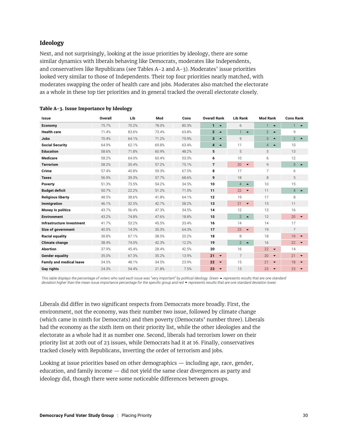#### **Ideology**

Next, and not surprisingly, looking at the issue priorities by ideology, there are some similar dynamics with liberals behaving like Democrats, moderates like Independents, and conservatives like Republicans (see Tables A-2 and A-3). Moderates' issue priorities looked very similar to those of Independents. Their top four priorities nearly matched, with moderates swapping the order of health care and jobs. Moderates also matched the electorate as a whole in these top tier priorities and in general tracked the overall electorate closely.

| <b>Issue</b>                    | Overall | Lib   | Mod   | Cons  | <b>Overall Rank</b>                | <b>Lib Rank</b>                    |                                    | <b>Cons Rank</b>                   |
|---------------------------------|---------|-------|-------|-------|------------------------------------|------------------------------------|------------------------------------|------------------------------------|
| Economy                         | 75.7%   | 70.2% | 78.0% | 80.3% | $\mathbf{1}$<br>$\blacktriangle$   | 6                                  | 1<br>$\blacktriangle$              | 1<br>$\rightarrow$                 |
| <b>Health care</b>              | 71.4%   | 83.6% | 73.4% | 63.8% | $2 - 4$                            | $\mathbf{1}$<br>$\blacktriangle$   | $\overline{2}$<br>$\blacktriangle$ | 9                                  |
| <b>Jobs</b>                     | 70.4%   | 64.1% | 71.2% | 75.9% | 3<br>$\blacktriangle$              | 9                                  | 3<br>$\blacktriangle$              | 2 $\blacktriangle$                 |
| <b>Social Security</b>          | 64.9%   | 62.1% | 69.8% | 63.4% | $\overline{4}$<br>$\blacktriangle$ | 11                                 | $\overline{4}$<br>$\blacktriangle$ | 10                                 |
| <b>Education</b>                | 58.6%   | 71.8% | 60.9% | 48.2% | 5                                  | 5                                  | 5                                  | 13                                 |
| <b>Medicare</b>                 | 58.2%   | 64.0% | 60.4% | 53.3% | 6                                  | 10                                 | 6                                  | 12                                 |
| <b>Terrorism</b>                | 58.2%   | 35.4% | 57.2% | 75.1% | $\overline{7}$                     | 20<br>$\blacktriangledown$         | 9                                  | 3<br>$\blacktriangle$              |
| Crime                           | 57.4%   | 40.8% | 59.3% | 67.5% | 8                                  | 17                                 | $\overline{7}$                     | 6                                  |
| <b>Taxes</b>                    | 56.9%   | 39.3% | 57.7% | 68.6% | 9                                  | 18                                 | 8                                  | 5                                  |
| Poverty                         | 51.3%   | 73.5% | 54.2% | 34.5% | 10                                 | $\overline{4}$<br>$\blacktriangle$ | 10                                 | 15                                 |
| <b>Budget deficit</b>           | 50.7%   | 22.2% | 51.2% | 71.5% | 11                                 | 22<br>$\blacktriangledown$         | 11                                 | $\overline{4}$<br>$\blacktriangle$ |
| <b>Religious liberty</b>        | 48.5%   | 38.6% | 41.8% | 64.1% | 12                                 | 19                                 | 17                                 | 8                                  |
| Immigration                     | 46.1%   | 32.5% | 42.7% | 58.2% | 13                                 | 21<br>$\blacktriangledown$         | 15                                 | 11                                 |
| Money in politics               | 43.7%   | 56.4% | 47.3% | 34.5% | 14                                 | 12                                 | 13                                 | 16                                 |
| <b>Environment</b>              | 43.2%   | 74.8% | 47.6% | 18.8% | 15                                 | $\overline{2}$<br>$\blacktriangle$ | 12                                 | 20<br>$\blacktriangledown$         |
| Infrastructure investment       | 41.7%   | 53.2% | 45.5% | 33.4% | 16                                 | 14                                 | 14                                 | 17                                 |
| Size of government              | 40.5%   | 14.3% | 35.3% | 64.3% | 17                                 | 23<br>$\overline{\phantom{a}}$     | 19                                 | $\overline{7}$                     |
| Racial equality                 | 38.8%   | 67.1% | 38.5% | 20.2% | 18                                 | 8                                  | 18                                 | 19<br>$\overline{\phantom{a}}$     |
| <b>Climate change</b>           | 38.4%   | 74.0% | 42.3% | 12.2% | 19                                 | 3<br>$\blacktriangle$              | 16                                 | 22<br>$\overline{\phantom{a}}$     |
| <b>Abortion</b>                 | 37.9%   | 45.4% | 28.4% | 42.5% | 20                                 | 16                                 | 22<br>$\blacktriangledown$         | 14                                 |
| <b>Gender equality</b>          | 35.0%   | 67.3% | 35.2% | 13.9% | 21<br>$\blacktriangledown$         | $\overline{7}$                     | 20<br>$\blacktriangledown$         | 21<br>$\overline{\phantom{a}}$     |
| <b>Family and medical leave</b> | 34.5%   | 48.1% | 34.5% | 23.9% | 22<br>$\blacktriangledown$         | 15                                 | 21<br>$\blacktriangledown$         | 18<br>$\overline{\phantom{a}}$     |
| Gay rights                      | 24.3%   | 54.4% | 21.8% | 7.5%  | 23<br>$\blacktriangledown$         | 13                                 | 23<br>$\blacktriangledown$         | 23<br>$\overline{\phantom{a}}$     |

|  | Table A-3. Issue Importance by Ideology |  |
|--|-----------------------------------------|--|
|  |                                         |  |

This table displays the percentage of voters who said each issue was "very important" by political ideology. Green ▲ represents results that are one standard *deviation higher than the mean issue importance percentage for the specific group and red represents results that are one standard deviation lower.*

Liberals did differ in two significant respects from Democrats more broadly. First, the environment, not the economy, was their number two issue, followed by climate change (which came in ninth for Democrats) and then poverty (Democrats' number three). Liberals had the economy as the sixth item on their priority list, while the other ideologies and the electorate as a whole had it as number one. Second, liberals had terrorism lower on their priority list at 20th out of 23 issues, while Democrats had it at 16. Finally, conservatives tracked closely with Republicans, inverting the order of terrorism and jobs.

Looking at issue priorities based on other demographics — including age, race, gender, education, and family income — did not yield the same clear divergences as party and ideology did, though there were some noticeable differences between groups.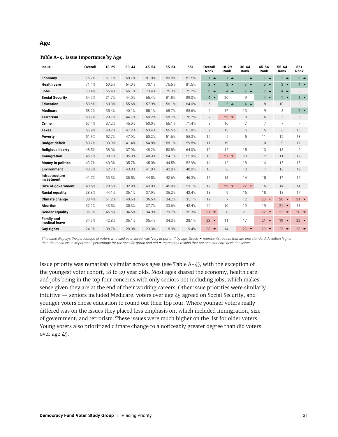#### **Age**

#### **Table A-4. Issue Importance by Age**

| <b>Issue</b>                       | Overall | $18 - 29$ | $30 - 44$ | 45-54 | $55 - 64$ | $65+$ | Overall<br>Rank | $18 - 29$<br>Rank | $30 - 44$<br>Rank | $45 - 54$<br>Rank          | $55 - 64$<br>Rank              | $65+$<br>Rank  |
|------------------------------------|---------|-----------|-----------|-------|-----------|-------|-----------------|-------------------|-------------------|----------------------------|--------------------------------|----------------|
| Economy                            | 75.7%   | 61.1%     | 68.7%     | 81.0% | 80.8%     | 81.5% | $1 -$           | $1 -$             | $1 -$             | $1 -$                      | $2^{\bullet}$                  | $3 -$          |
| <b>Health care</b>                 | 71.4%   | 60.5%     | 64.0%     | 70.1% | 76.5%     | 81.5% | $2^{\bullet}$   | $3 -$             | $3 -$             | $3 -$                      | $3 -$                          | $4 -$          |
| Jobs                               | 70.4%   | 56.4%     | 66.1%     | 73.4% | 75.3%     | 75.2% | $3 -$           | $4 -$             | $2^{\bullet}$     | $2^{\bullet}$              | $4 -$                          | 6              |
| <b>Social Security</b>             | 64.9%   | 31.7%     | 44.0%     | 65.4% | 81.8%     | 89.0% | $4 \triangle$   | 20                | g                 | $4 \triangle$              | $1 -$                          | $1 -$          |
| <b>Education</b>                   | 58.6%   | 60.8%     | 55.6%     | 57.9% | 56.1%     | 64.0% | 5               | $2^{\bullet}$     | $4 \bullet$       | 8                          | 10                             | 8              |
| <b>Medicare</b>                    | 58.2%   | 35.4%     | 40.1%     | 55.1% | 65.7%     | 85.6% | 6               | 17                | 13                | 9                          | 8                              | $2^{\bullet}$  |
| <b>Terrorism</b>                   | 58.2%   | 29.7%     | 44.7%     | 60.2% | 68.7%     | 76.2% | $\overline{7}$  | $22 -$            | 8                 | 6                          | 5                              | 5              |
| Crime                              | 57.4%   | 37.2%     | 45.0%     | 60.0% | 66.1%     | 71.4% | 8               | 16                | 7                 | $\overline{7}$             | $\overline{7}$                 | $\overline{7}$ |
| <b>Taxes</b>                       | 56.9%   | 40.2%     | 47.2%     | 63.4% | 66.6%     | 61.8% | 9               | 13                | 6                 | 5                          | 6                              | 10             |
| Poverty                            | 51.3%   | 52.7%     | 47.9%     | 50.2% | 51.6%     | 55.3% | 10              | 5                 | 5                 | 11                         | 12                             | 13             |
| <b>Budget deficit</b>              | 50.7%   | 33.0%     | 41.4%     | 54.8% | 58.1%     | 59.8% | 11              | 19                | 11                | 10 <sup>1</sup>            | $\mathsf{Q}$                   | 11             |
| <b>Religious liberty</b>           | 48.5%   | 38.0%     | 37.9%     | 48.2% | 50.8%     | 64.0% | 12              | 15                | 15                | 13                         | 13                             | 9              |
| Immigration                        | 46.1%   | 30.7%     | 35.3%     | 48.9% | 54.1%     | 55.9% | 13              | $21 -$            | 20                | 12                         | 11                             | 12             |
| <b>Money in politics</b>           | 43.7%   | 40.3%     | 35.7%     | 45.0% | 44.5%     | 52.9% | 14              | 12                | 18                | 14                         | 15                             | 15             |
| <b>Environment</b>                 | 43.2%   | 52.7%     | 43.8%     | 41.0% | 42.8%     | 40.0% | 15              | 6                 | 10                | 17                         | 16                             | 19             |
| Infrastructure<br>investment       | 41.7%   | 33.3%     | 38.5%     | 44.5% | 42.6%     | 46.3% | 16              | 18                | 14                | 15                         | 17                             | 16             |
| Size of government                 | 40.5%   | 20.5%     | 32.0%     | 43.0% | 45.9%     | 53.1% | 17              | $23 -$            | $22 - 7$          | 16                         | 14                             | 14             |
| <b>Racial equality</b>             | 38.8%   | 44.1%     | 36.1%     | 37.9% | 36.2%     | 42.4% | 18              | 9                 | 16                | 18                         | 18                             | 17             |
| <b>Climate change</b>              | 38.4%   | 51.2%     | 40.6%     | 36.5% | 34.2%     | 35.1% | 19              | $\overline{7}$    | 12                | 20<br>$\blacktriangledown$ | 20<br>$\overline{\phantom{a}}$ | $21 -$         |
| <b>Abortion</b>                    | 37.9%   | 43.5%     | 35.3%     | 37.7% | 33.6%     | 42.4% | 20              | 10                | 19                | 19                         | $21 -$                         | 18             |
| <b>Gender equality</b>             | 35.0%   | 45.5%     | 34.6%     | 34.9% | 29.7%     | 35.3% | $21 -$          | 8                 | 21                | $22 - 7$                   | $22 - 7$                       | 20 $\bullet$   |
| <b>Family and</b><br>medical leave | 34.5%   | 42.8%     | 36.1%     | 35.4% | 34.3%     | 28.1% | $22 -$          | 11                | 17                | $21 -$                     | $19 -$                         | $22 -$         |
| <b>Gay rights</b>                  | 24.3%   | 38.7%     | 28.0%     | 23.3% | 18.3%     | 19.4% | $23 -$          | 14                | $23 -$            | $23 -$                     | $23 -$                         | $23 -$         |

This table displays the percentage of voters who said each issue was "very important" by age. Green ▲ represents results that are one standard deviation higher *than the mean issue importance percentage for the specific group and red represents results that are one standard deviation lower.*

Issue priority was remarkably similar across ages (see Table A-4), with the exception of the youngest voter cohort, 18 to 29 year olds. Most ages shared the economy, health care, and jobs being in the top four concerns with only seniors not including jobs, which makes sense given they are at the end of their working careers. Other issue priorities were similarly intuitive — seniors included Medicare, voters over age 45 agreed on Social Security, and younger voters chose education to round out their top four. Where younger voters really differed was on the issues they placed less emphasis on, which included immigration, size of government, and terrorism. These issues were much higher on the list for older voters. Young voters also prioritized climate change to a noticeably greater degree than did voters over age 45.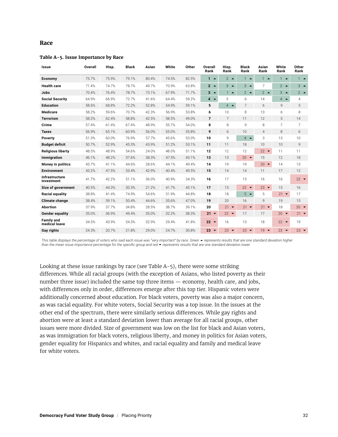#### **Race**

#### **Table A-5. Issue Importance by Race**

| Issue                              | Overall | Hisp. | <b>Black</b> | Asian | White | Other | Overall<br>Rank | Hisp.<br>Rank  | <b>Black</b><br>Rank | Asian<br>Rank  | White<br>Rank    | Other<br>Rank  |
|------------------------------------|---------|-------|--------------|-------|-------|-------|-----------------|----------------|----------------------|----------------|------------------|----------------|
| Economy                            | 75.7%   | 75.9% | 79.1%        | 80.4% | 74.5% | 82.5% | $1 -$           | $2^{\bullet}$  | $1 -$                | $1 -$          | $1 -$            | $1 -$          |
| <b>Health care</b>                 | 71.4%   | 74.7% | 78.7%        | 49.7% | 70.9% | 63.8% | $2^{\circ}$     | $3 -$          | $3 -$                | $\overline{7}$ | $2^{\bullet}$    | $3 -$          |
| Jobs                               | 70.4%   | 76.4% | 78.7%        | 73.1% | 67.9% | 71.7% | $3 - $          | $1 -$          | $2^{\bullet}$        | $2^{\bullet}$  | $3 -$            | $2^{\bullet}$  |
| <b>Social Security</b>             | 64.9%   | 66.9% | 72.7%        | 41.6% | 64.4% | 59.2% | $4 -$           | 5              | 6                    | 14             | $4 -$            | $\overline{4}$ |
| <b>Education</b>                   | 58.6%   | 68.8% | 72.2%        | 52.8% | 54.9% | 59.1% | 5               | $4 -$          | $\overline{7}$       | 6              | 9                | 5              |
| Medicare                           | 58.2%   | 59.6% | 70.7%        | 42.3% | 56.9% | 53.8% | 6               | 10             | 8                    | 13             | 6                | 8              |
| <b>Terrorism</b>                   | 58.2%   | 62.4% | 58.8%        | 42.5% | 58.5% | 49.0% | $\overline{7}$  | $\overline{7}$ | 11                   | 12             | 5                | 14             |
| Crime                              | 57.4%   | 61.4% | 67.4%        | 48.9% | 55.7% | 54.0% | 8               | 8              | 9                    | 8              | $\overline{7}$   | $\overline{7}$ |
| <b>Taxes</b>                       | 56.9%   | 65.1% | 60.9%        | 56.0% | 55.0% | 55.8% | 9               | 6              | 10                   | $\overline{4}$ | 8                | 6              |
| Poverty                            | 51.3%   | 60.0% | 76.9%        | 57.7% | 45.6% | 53.0% | 10              | 9              | $4 \bullet$          | 3              | 13               | 10             |
| <b>Budget deficit</b>              | 50.7%   | 52.9% | 45.3%        | 43.9% | 51.2% | 53.1% | 11              | 11             | 18                   | 10             | 10               | 9              |
| <b>Religious liberty</b>           | 48.5%   | 48.9% | 54.6%        | 24.0% | 48.0% | 51.1% | 12              | 12             | 12                   | $22 -$         | 11               | 11             |
| Immigration                        | 46.1%   | 48.2% | 37.6%        | 38.3% | 47.5% | 43.1% | 13              | 13             | $20 - $              | 15             | 12               | 18             |
| Money in politics                  | 43.7%   | 41.1% | 44.6%        | 28.6% | 44.1% | 49.4% | 14              | 19             | 19                   | $20 \bullet$   | 14               | 13             |
| <b>Environment</b>                 | 43.2%   | 47.5% | 53.4%        | 42.9% | 40.4% | 49.5% | 15              | 14             | 14                   | 11             | 17               | 12             |
| Infrastructure<br>investment       | 41.7%   | 42.2% | 51.1%        | 36.0% | 40.9% | 34.3% | 16              | 17             | 15                   | 16             | 16               | $22 -$         |
| Size of government                 | 40.5%   | 44.3% | 30.3%        | 21.2% | 41.7% | 45.1% | 17              | 15             | $22 - 7$             | $23 -$         | 15               | 16             |
| Racial equality                    | 38.8%   | 41.4% | 74.9%        | 54.6% | 31.9% | 44.8% | 18              | 18             | $5 -$                | 5              | $21 -$           | 17             |
| <b>Climate change</b>              | 38.4%   | 39.1% | 50.4%        | 44.6% | 35.6% | 47.0% | 19              | 20             | 16                   | 9              | 19               | 15             |
| <b>Abortion</b>                    | 37.9%   | 37.7% | 34.8%        | 28.5% | 38.7% | 39.1% | 20              | $21 -$         | $21 -$               | $21 -$         | 18               | $20 - $        |
| <b>Gender equality</b>             | 35.0%   | 36.9% | 49.4%        | 35.0% | 32.2% | 38.3% | $21 -$          | $22 -$         | 17                   | 17             | $20 \rightarrow$ | $21 -$         |
| <b>Family and</b><br>medical leave | 34.5%   | 43.9% | 54.3%        | 32.9% | 29.4% | 41.8% | $22 -$          | 16             | 13                   | 18             | $22 -$           | 19             |
| Gay rights                         | 24.3%   | 20.7% | 21.8%        | 29.0% | 24.7% | 30.8% | $23 -$          | $23 - $        | $23 -$               | $19 -$         | $23 -$           | $23 -$         |

This table displays the percentage of voters who said each issue was "very important" by race. Green ▲ represents results that are one standard deviation higher *than the mean issue importance percentage for the specific group and red represents results that are one standard deviation lower.*

Looking at these issue rankings by race (see Table A-5), there were some striking differences. While all racial groups (with the exception of Asians, who listed poverty as their number three issue) included the same top three items — economy, health care, and jobs, with differences only in order, differences emerge after this top tier. Hispanic voters were additionally concerned about education. For black voters, poverty was also a major concern, as was racial equality. For white voters, Social Security was a top issue. In the issues at the other end of the spectrum, there were similarly serious differences. While gay rights and abortion were at least a standard deviation lower than average for all racial groups, other issues were more divided. Size of government was low on the list for black and Asian voters, as was immigration for black voters, religious liberty, and money in politics for Asian voters, gender equality for Hispanics and whites, and racial equality and family and medical leave for white voters.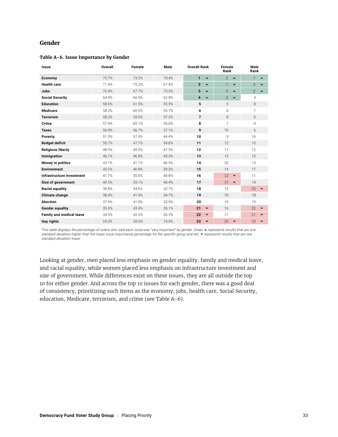#### **Gender**

#### **Table A-6. Issue Importance by Gender**

| <b>Issue</b>                    | Overall | Female | Male  | <b>Overall Rank</b>              | Female<br>Rank                     | Male<br>Rank                       |
|---------------------------------|---------|--------|-------|----------------------------------|------------------------------------|------------------------------------|
| Economy                         | 75.7%   | 73.2%  | 78.4% | $\mathbf{1}$<br>$\blacktriangle$ | $\overline{2}$<br>$\blacktriangle$ | $\mathbf{1}$<br>▲                  |
| <b>Health care</b>              | 71.4%   | 75.2%  | 67.4% | $\overline{2}$<br>▴              | 1<br>$\blacktriangle$              | 3                                  |
| <b>Jobs</b>                     | 70.4%   | 67.7%  | 73.3% | 3<br>▲                           | 3<br>$\blacktriangle$              | $\overline{2}$<br>$\blacktriangle$ |
| <b>Social Security</b>          | 64.9%   | 66.9%  | 62.8% | 4                                | $\overline{4}$<br>$\blacktriangle$ | 4                                  |
| <b>Education</b>                | 58.6%   | 61.5%  | 55.5% | 5                                | 5                                  | 8                                  |
| <b>Medicare</b>                 | 58.2%   | 60.5%  | 55.7% | 6                                | 6                                  | 7                                  |
| <b>Terrorism</b>                | 58.2%   | 59.0%  | 57.3% | $\overline{7}$                   | 8                                  | 5                                  |
| Crime                           | 57.4%   | 60.1%  | 54.6% | 8                                | 7                                  | 9                                  |
| <b>Taxes</b>                    | 56.9%   | 56.7%  | 57.1% | 9                                | 10                                 | 6                                  |
| Poverty                         | 51.3%   | 57.9%  | 44.4% | 10                               | 9                                  | 16                                 |
| <b>Budget deficit</b>           | 50.7%   | 47.1%  | 54.6% | 11                               | 12                                 | 10                                 |
| <b>Religious liberty</b>        | 48.5%   | 49.5%  | 47.5% | 12                               | 11                                 | 12                                 |
| Immigration                     | 46.1%   | 46.8%  | 45.3% | 13                               | 13                                 | 15                                 |
| Money in politics               | 43.7%   | 41.1%  | 46.5% | 14                               | 20                                 | 13                                 |
| <b>Environment</b>              | 43.2%   | 46.8%  | 39.3% | 15                               | 14                                 | 17                                 |
| Infrastructure investment       | 41.7%   | 35.0%  | 48.8% | 16                               | 22<br>$\blacktriangledown$         | 11                                 |
| Size of government              | 40.5%   | 35.1%  | 46.4% | 17                               | 21<br>$\overline{\phantom{a}}$     | 14                                 |
| <b>Racial equality</b>          | 38.8%   | 44.6%  | 32.7% | 18                               | 15                                 | 20                                 |
| Climate change                  | 38.4%   | 41.9%  | 34.7% | 19                               | 18                                 | 18                                 |
| <b>Abortion</b>                 | 37.9%   | 41.8%  | 33.9% | 20                               | 19                                 | 19                                 |
| <b>Gender equality</b>          | 35.0%   | 43.4%  | 26.1% | 21<br>$\overline{\phantom{a}}$   | 16                                 | 22                                 |
| <b>Family and medical leave</b> | 34.5%   | 42.3%  | 26.3% | 22<br>$\overline{\phantom{a}}$   | 17                                 | 21                                 |
| Gay rights                      | 24.3%   | 28.5%  | 19.9% | 23<br>$\overline{\phantom{a}}$   | 23<br>$\blacktriangledown$         | 23                                 |

*This table displays the percentage of voters who said each issue was "very important" by gender. Green ▲ represents results that are one standard deviation higher than the mean issue importance percentage for the specific group and red represents results that are one standard deviation lower.*

Looking at gender, men placed less emphasis on gender equality, family and medical leave, and racial equality, while women placed less emphasis on infrastructure investment and size of government. While differences exist on these issues, they are all outside the top 10 for either gender. And across the top 10 issues for each gender, there was a good deal of consistency, prioritizing such items as the economy, jobs, health care, Social Security, education, Medicare, terrorism, and crime (see Table A-6).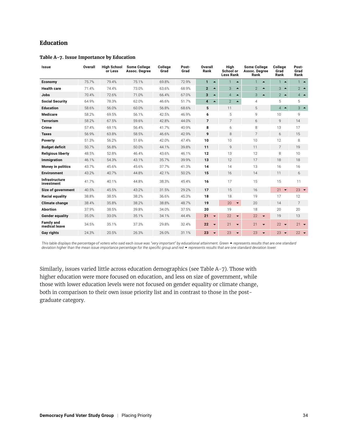#### **Education**

#### **Table A-7. Issue Importance by Education**

| Issue                               | Overall | <b>High School</b><br>or Less | <b>Some College</b><br>Assoc. Degree | College<br>Grad | Post-<br>Grad | Overall<br>Rank                    |                                    | <b>Some College</b><br>Assoc. Degree<br>Rank | College<br>Grad<br>Rank            | Post-<br>Grad<br>Rank |
|-------------------------------------|---------|-------------------------------|--------------------------------------|-----------------|---------------|------------------------------------|------------------------------------|----------------------------------------------|------------------------------------|-----------------------|
| Economy                             | 75.7%   | 79.4%                         | 75.1%                                | 69.8%           | 72.9%         | $\mathbf{1}$<br>$\blacktriangle$   | $\mathbf{1}$<br>$\blacktriangle$   | 1<br>$\blacktriangle$                        | $1 -$                              | $1 -$                 |
| <b>Health care</b>                  | 71.4%   | 74.4%                         | 73.0%                                | 63.6%           | 68.9%         | $\overline{2}$<br>$\blacktriangle$ | 3<br>$\blacktriangle$              | $\overline{2}$<br>$\blacktriangle$           | 3<br>$\blacktriangle$              | $2^{\bullet}$         |
| <b>Jobs</b>                         | 70.4%   | 72.6%                         | 71.0%                                | 66.4%           | 67.0%         | 3<br>$\blacktriangle$              | $\overline{4}$<br>$\blacktriangle$ | 3<br>$\blacktriangle$                        | $2^{\bullet}$                      | $4 -$                 |
| <b>Social Security</b>              | 64.9%   | 78.3%                         | 62.0%                                | 46.6%           | 51.7%         | 4<br>$\blacktriangle$              | $\overline{2}$<br>$\blacktriangle$ | $\overline{4}$                               | 5                                  | 5                     |
| <b>Education</b>                    | 58.6%   | 56.0%                         | 60.0%                                | 56.8%           | 68.6%         | 5                                  | 11                                 | 5                                            | $\overline{4}$<br>$\blacktriangle$ | $3 -$                 |
| <b>Medicare</b>                     | 58.2%   | 69.5%                         | 56.1%                                | 42.5%           | 46.9%         | 6                                  | 5                                  | 9                                            | 10                                 | 9                     |
| <b>Terrorism</b>                    | 58.2%   | 67.5%                         | 59.6%                                | 42.8%           | 44.0%         | $\overline{7}$                     | $\overline{7}$                     | 6                                            | $\mathbf Q$                        | 14                    |
| Crime                               | 57.4%   | 69.1%                         | 56.4%                                | 41.7%           | 40.9%         | 8                                  | 6                                  | 8                                            | 13                                 | 17                    |
| <b>Taxes</b>                        | 56.9%   | 63.8%                         | 58.5%                                | 46.6%           | 42.9%         | 9                                  | 8                                  | $\overline{7}$                               | 6                                  | 15                    |
| Poverty                             | 51.3%   | 56.2%                         | 51.6%                                | 42.0%           | 47.4%         | 10                                 | 10                                 | 10                                           | 12                                 | 8                     |
| <b>Budget deficit</b>               | 50.7%   | 56.8%                         | 50.0%                                | 44.1%           | 39.8%         | 11                                 | 9                                  | 11                                           | $\overline{7}$                     | 19                    |
| <b>Religious liberty</b>            | 48.5%   | 52.8%                         | 46.4%                                | 43.6%           | 46.1%         | 12                                 | 13                                 | 12                                           | 8                                  | 10                    |
| Immigration                         | 46.1%   | 54.3%                         | 43.1%                                | 35.7%           | 39.9%         | 13                                 | 12                                 | 17                                           | 18                                 | 18                    |
| <b>Money in politics</b>            | 43.7%   | 45.6%                         | 45.6%                                | 37.7%           | 41.3%         | 14                                 | 14                                 | 13                                           | 16                                 | 16                    |
| <b>Environment</b>                  | 43.2%   | 40.7%                         | 44.8%                                | 42.1%           | 50.2%         | 15                                 | 16                                 | 14                                           | 11                                 | 6                     |
| <b>Infrastructure</b><br>investment | 41.7%   | 40.1%                         | 44.8%                                | 38.3%           | 45.4%         | 16                                 | 17                                 | 15                                           | 15                                 | 11                    |
| Size of government                  | 40.5%   | 45.5%                         | 43.2%                                | 31.5%           | 29.2%         | 17                                 | 15                                 | 16                                           | $21 -$                             | $23 -$                |
| Racial equality                     | 38.8%   | 38.5%                         | 38.2%                                | 36.6%           | 45.3%         | 18                                 | 18                                 | 19                                           | 17                                 | 12                    |
| <b>Climate change</b>               | 38.4%   | 35.8%                         | 38.2%                                | 38.8%           | 48.7%         | 19                                 | 20<br>$\overline{\phantom{0}}$     | 20                                           | 14                                 | $\overline{7}$        |
| <b>Abortion</b>                     | 37.9%   | 38.5%                         | 39.8%                                | 34.0%           | 37.5%         | 20                                 | 19                                 | 18                                           | 20                                 | 20                    |
| <b>Gender equality</b>              | 35.0%   | 33.0%                         | 35.1%                                | 34.1%           | 44.4%         | 21<br>$\overline{\phantom{a}}$     | 22<br>$\overline{\phantom{a}}$     | 22<br>$\blacktriangledown$                   | 19                                 | 13                    |
| <b>Family and</b><br>medical leave  | 34.5%   | 35.1%                         | 37.3%                                | 29.8%           | 32.4%         | 22<br>$\overline{\phantom{a}}$     | 21<br>$\overline{\phantom{a}}$     | 21<br>$\overline{\phantom{a}}$               | $22 - 7$                           | $21 -$                |
| <b>Gay rights</b>                   | 24.3%   | 20.5%                         | 26.3%                                | 26.0%           | 31.1%         | 23<br>$\overline{\phantom{a}}$     | 23<br>$\blacktriangledown$         | 23<br>$\blacktriangledown$                   | $23 -$                             | $22 - 7$              |

This table displays the percentage of voters who said each issue was "very important" by educational attainment. Green ▲ represents results that are one standard *deviation higher than the mean issue importance percentage for the specific group and red represents results that are one standard deviation lower.*

Similarly, issues varied little across education demographics (see Table A-7). Those with higher education were more focused on education, and less on size of government, while those with lower education levels were not focused on gender equality or climate change, both in comparison to their own issue priority list and in contrast to those in the postgraduate category.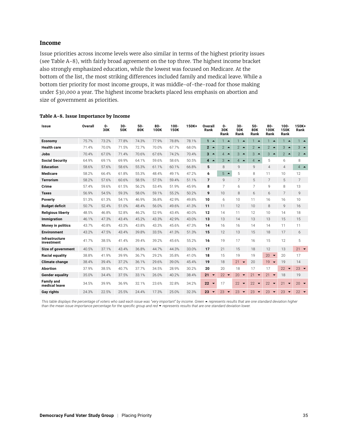#### **Income**

Issue priorities across income levels were also similar in terms of the highest priority issues (see Table A-8), with fairly broad agreement on the top three. The highest income bracket also strongly emphasized education, while the lowest was focused on Medicare. At the bottom of the list, the most striking differences included family and medical leave. While a bottom tier priority for most income groups, it was middle-of-the-road for those making under \$30,000 a year. The highest income brackets placed less emphasis on abortion and size of government as priorities.

| Issue                               | Overall | $0 -$<br>30K | $30 -$<br>50K | 50-<br>80K | $80 -$<br>100K | $100 -$<br>150K | 150K+ | Overall<br>Rank                | 0-<br>30K<br>Rank               | $30 -$<br>50K<br>Rank      | $50-$<br>80K<br>Rank          | $80 -$<br>100K<br>Rank             | $100 -$<br>150K<br>Rank        | 150K+<br>Rank  |
|-------------------------------------|---------|--------------|---------------|------------|----------------|-----------------|-------|--------------------------------|---------------------------------|----------------------------|-------------------------------|------------------------------------|--------------------------------|----------------|
| Economy                             | 75.7%   | 73.2%        | 77.8%         | 74.3%      | 77.9%          | 78.8%           | 78.1% | $1 -$                          | $1 -$                           | $1 -$                      | $\mathbf{1}$<br>$\rightarrow$ | $\blacktriangle$                   | $1 -$                          | $1 -$          |
| <b>Health care</b>                  | 71.4%   | 70.0%        | 71.5%         | 72.7%      | 70.0%          | 67.7%           | 68.0% | $2^{\circ}$                    | $2 -$                           | $2 -$                      | $2^{\bullet}$                 | $\overline{2}$<br>$\blacktriangle$ | 3<br>$\rightarrow$             | $3 -$          |
| <b>Jobs</b>                         | 70.4%   | 67.0%        | 71.4%         | 70.6%      | 67.6%          | 74.2%           | 70.4% | $3 - $                         | $\overline{4}$<br>$\rightarrow$ | 3<br>$\blacktriangle$      | 3<br>$\rightarrow$            | 3<br>$\blacktriangle$              | $2^{\bullet}$                  | $2^{\bullet}$  |
| <b>Social Security</b>              | 64.9%   | 69.1%        | 69.9%         | 64.1%      | 59.6%          | 58.6%           | 50.5% | $4 -$                          | 3<br>$\rightarrow$              | $4 -$                      | $4 \triangle$                 | 5                                  | 6                              | 8              |
| <b>Education</b>                    | 58.6%   | 57.6%        | 58.6%         | 55.3%      | 61.1%          | 60.1%           | 66.8% | 5                              | 8                               | $\mathsf{Q}$               | $\mathsf{Q}$                  | $\overline{4}$                     | $\overline{4}$                 | $4 \bullet$    |
| <b>Medicare</b>                     | 58.2%   | 66.4%        | 61.8%         | 55.3%      | 48.4%          | 49.1%           | 47.2% | 6                              | $5 -$                           | 5                          | 8                             | 11                                 | 10                             | 12             |
| <b>Terrorism</b>                    | 58.2%   | 57.6%        | 60.6%         | 58.5%      | 57.5%          | 59.4%           | 51.1% | $\overline{7}$                 | $\mathsf{Q}$                    | $\overline{7}$             | 5                             | $\overline{7}$                     | 5                              | $\overline{7}$ |
| Crime                               | 57.4%   | 59.6%        | 61.5%         | 56.2%      | 53.4%          | 51.9%           | 45.9% | 8                              | 7                               | 6                          | 7                             | 9                                  | 8                              | 13             |
| <b>Taxes</b>                        | 56.9%   | 54.5%        | 59.3%         | 58.0%      | 59.1%          | 55.2%           | 50.2% | 9                              | 10                              | 8                          | 6                             | 6                                  | $\overline{7}$                 | 9              |
| <b>Poverty</b>                      | 51.3%   | 61.3%        | 54.1%         | 46.9%      | 36.8%          | 42.9%           | 49.8% | 10                             | 6                               | 10                         | 11                            | 16                                 | 16                             | 10             |
| <b>Budget deficit</b>               | 50.7%   | 52.4%        | 51.0%         | 48.4%      | 56.0%          | 49.6%           | 41.3% | 11                             | 11                              | 12                         | 10                            | 8                                  | 9                              | 16             |
| <b>Religious liberty</b>            | 48.5%   | 46.8%        | 52.8%         | 46.2%      | 52.9%          | 43.4%           | 40.0% | 12                             | 14                              | 11                         | 12                            | 10                                 | 14                             | 18             |
| Immigration                         | 46.1%   | 47.3%        | 43.4%         | 45.2%      | 43.3%          | 42.9%           | 43.0% | 13                             | 13                              | 14                         | 13                            | 13                                 | 15                             | 15             |
| Money in politics                   | 43.7%   | 40.8%        | 43.3%         | 43.8%      | 43.3%          | 45.6%           | 47.3% | 14                             | 16                              | 16                         | 14                            | 14                                 | 11                             | 11             |
| <b>Environment</b>                  | 43.2%   | 47.5%        | 43.4%         | 39.8%      | 33.5%          | 41.3%           | 51.3% | 15                             | 12                              | 13                         | 15                            | 18                                 | 17                             | 6              |
| <b>Infrastructure</b><br>investment | 41.7%   | 38.5%        | 41.4%         | 39.4%      | 39.2%          | 45.6%           | 55.2% | 16                             | 19                              | 17                         | 16                            | 15                                 | 12                             | 5              |
| Size of government                  | 40.5%   | 37.1%        | 43.4%         | 36.8%      | 44.7%          | 44.3%           | 33.0% | 17                             | 21                              | 15                         | 18                            | 12                                 | 13                             | $21 -$         |
| Racial equality                     | 38.8%   | 41.9%        | 39.9%         | 36.7%      | 29.2%          | 35.8%           | 41.0% | 18                             | 15                              | 19                         | 19                            | 20 $\rightarrow$                   | 20                             | 17             |
| <b>Climate change</b>               | 38.4%   | 39.4%        | 37.2%         | 36.1%      | 29.6%          | 39.0%           | 45.4% | 19                             | 18                              | 21<br>$\blacktriangledown$ | 20                            | $19 -$                             | 19                             | 14             |
| <b>Abortion</b>                     | 37.9%   | 38.5%        | 40.7%         | 37.7%      | 34.5%          | 28.9%           | 30.2% | 20                             | 20                              | 18                         | 17                            | 17                                 | $22 -$                         | $23 -$         |
| <b>Gender equality</b>              | 35.0%   | 34.4%        | 37.5%         | 33.1%      | 26.0%          | 40.2%           | 38.4% | 21<br>$\overline{\phantom{0}}$ | $22 -$                          | $20 - $                    | 21<br>$\blacktriangledown$    | 21<br>$\overline{\phantom{a}}$     | 18                             | 19             |
| <b>Family and</b><br>medical leave  | 34.5%   | 39.9%        | 36.9%         | 32.1%      | 23.6%          | 32.8%           | 34.2% | 22<br>$\overline{\phantom{a}}$ | 17                              | $22 -$                     | $22 -$                        | 22<br>$\overline{\phantom{a}}$     | 21<br>$\overline{\phantom{a}}$ | $20 - 7$       |
| Gay rights                          | 24.3%   | 22.5%        | 25.5%         | 24.4%      | 17.3%          | 25.0%           | 32.3% | $23 -$                         | $23 -$                          | $23 -$                     | $23 -$                        | 23<br>$\overline{\phantom{0}}$     | $23 -$                         | $22 -$         |

#### **Table A-8. Issue Importance by Income**

This table displays the percentage of voters who said each issue was "very important" by income. Green ▲ represents results that are one standard deviation higher *than the mean issue importance percentage for the specific group and red represents results that are one standard deviation lower.*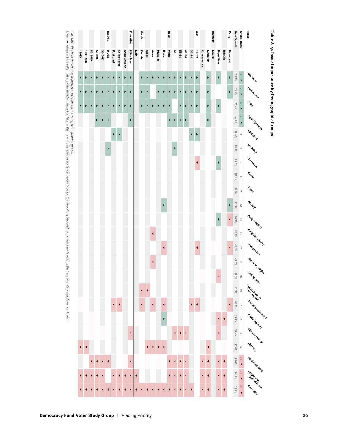



*This table displays the relative importance of each issue among demographic groups.* 

*Green*  ~ *represents results that are one standard deviation higher than the mean issue importance percentage for the specific group and red* ∢ *represents results that are one standard deviation lower.*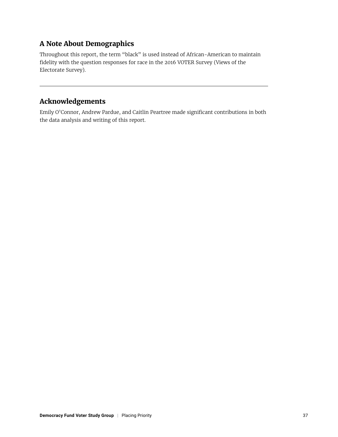# **A Note About Demographics**

Throughout this report, the term "black" is used instead of African-American to maintain fidelity with the question responses for race in the 2016 VOTER Survey (Views of the Electorate Survey).

# **Acknowledgements**

Emily O'Connor, Andrew Pardue, and Caitlin Peartree made significant contributions in both the data analysis and writing of this report.